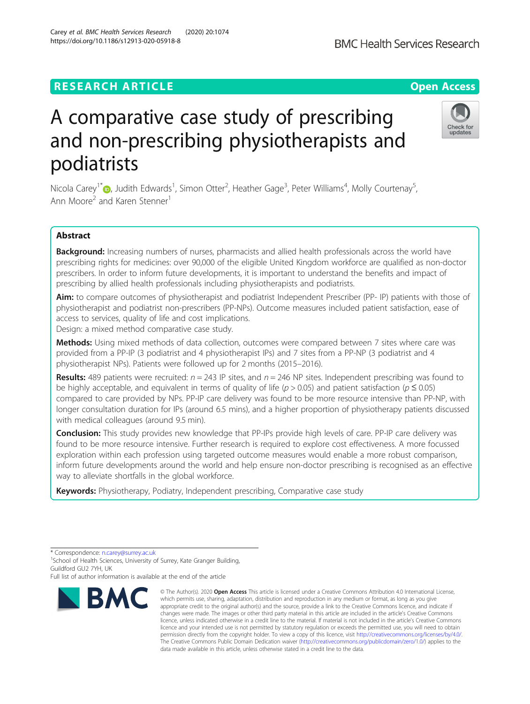## **RESEARCH ARTICLE Example 2014 12:30 The Contract of Contract ACCESS**

# A comparative case study of prescribing and non-prescribing physiotherapists and podiatrists

Nicola Carey<sup>1\*</sup>®, Judith Edwards<sup>1</sup>, Simon Otter<sup>2</sup>, Heather Gage<sup>3</sup>, Peter Williams<sup>4</sup>, Molly Courtenay<sup>5</sup> , Ann Moore<sup>2</sup> and Karen Stenner<sup>1</sup>

## Abstract

Background: Increasing numbers of nurses, pharmacists and allied health professionals across the world have prescribing rights for medicines: over 90,000 of the eligible United Kingdom workforce are qualified as non-doctor prescribers. In order to inform future developments, it is important to understand the benefits and impact of prescribing by allied health professionals including physiotherapists and podiatrists.

Aim: to compare outcomes of physiotherapist and podiatrist Independent Prescriber (PP- IP) patients with those of physiotherapist and podiatrist non-prescribers (PP-NPs). Outcome measures included patient satisfaction, ease of access to services, quality of life and cost implications.

Design: a mixed method comparative case study.

**Methods:** Using mixed methods of data collection, outcomes were compared between 7 sites where care was provided from a PP-IP (3 podiatrist and 4 physiotherapist IPs) and 7 sites from a PP-NP (3 podiatrist and 4 physiotherapist NPs). Patients were followed up for 2 months (2015–2016).

**Results:** 489 patients were recruited:  $n = 243$  IP sites, and  $n = 246$  NP sites. Independent prescribing was found to be highly acceptable, and equivalent in terms of quality of life ( $p > 0.05$ ) and patient satisfaction ( $p \le 0.05$ ) compared to care provided by NPs. PP-IP care delivery was found to be more resource intensive than PP-NP, with longer consultation duration for IPs (around 6.5 mins), and a higher proportion of physiotherapy patients discussed with medical colleagues (around 9.5 min).

**Conclusion:** This study provides new knowledge that PP-IPs provide high levels of care. PP-IP care delivery was found to be more resource intensive. Further research is required to explore cost effectiveness. A more focussed exploration within each profession using targeted outcome measures would enable a more robust comparison, inform future developments around the world and help ensure non-doctor prescribing is recognised as an effective way to alleviate shortfalls in the global workforce.

Keywords: Physiotherapy, Podiatry, Independent prescribing, Comparative case study



<sup>©</sup> The Author(s), 2020 **Open Access** This article is licensed under a Creative Commons Attribution 4.0 International License, which permits use, sharing, adaptation, distribution and reproduction in any medium or format, as long as you give appropriate credit to the original author(s) and the source, provide a link to the Creative Commons licence, and indicate if changes were made. The images or other third party material in this article are included in the article's Creative Commons licence, unless indicated otherwise in a credit line to the material. If material is not included in the article's Creative Commons licence and your intended use is not permitted by statutory regulation or exceeds the permitted use, you will need to obtain permission directly from the copyright holder. To view a copy of this licence, visit [http://creativecommons.org/licenses/by/4.0/.](http://creativecommons.org/licenses/by/4.0/) The Creative Commons Public Domain Dedication waiver [\(http://creativecommons.org/publicdomain/zero/1.0/](http://creativecommons.org/publicdomain/zero/1.0/)) applies to the data made available in this article, unless otherwise stated in a credit line to the data.





<sup>\*</sup> Correspondence: [n.carey@surrey.ac.uk](mailto:n.carey@surrey.ac.uk) <sup>1</sup>

<sup>&</sup>lt;sup>1</sup>School of Health Sciences, University of Surrey, Kate Granger Building, Guildford GU2 7YH, UK

Full list of author information is available at the end of the article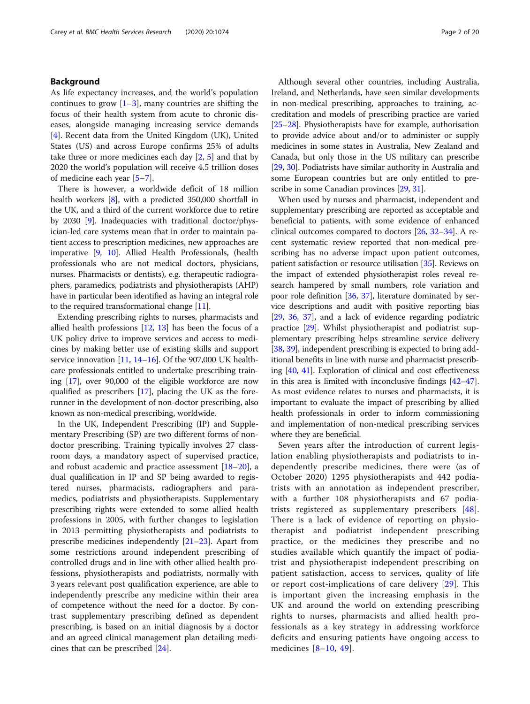### Background

As life expectancy increases, and the world's population continues to grow  $[1-3]$  $[1-3]$  $[1-3]$  $[1-3]$  $[1-3]$ , many countries are shifting the focus of their health system from acute to chronic diseases, alongside managing increasing service demands [[4\]](#page-17-0). Recent data from the United Kingdom (UK), United States (US) and across Europe confirms 25% of adults take three or more medicines each day  $[2, 5]$  $[2, 5]$  $[2, 5]$  $[2, 5]$  and that by 2020 the world's population will receive 4.5 trillion doses of medicine each year [\[5](#page-17-0)–[7\]](#page-18-0).

There is however, a worldwide deficit of 18 million health workers [[8](#page-18-0)], with a predicted 350,000 shortfall in the UK, and a third of the current workforce due to retire by 2030 [\[9](#page-18-0)]. Inadequacies with traditional doctor/physician-led care systems mean that in order to maintain patient access to prescription medicines, new approaches are imperative [[9,](#page-18-0) [10](#page-18-0)]. Allied Health Professionals, (health professionals who are not medical doctors, physicians, nurses. Pharmacists or dentists), e.g. therapeutic radiographers, paramedics, podiatrists and physiotherapists (AHP) have in particular been identified as having an integral role to the required transformational change [\[11\]](#page-18-0).

Extending prescribing rights to nurses, pharmacists and allied health professions  $[12, 13]$  $[12, 13]$  $[12, 13]$  $[12, 13]$  has been the focus of a UK policy drive to improve services and access to medicines by making better use of existing skills and support service innovation [\[11](#page-18-0), [14](#page-18-0)–[16](#page-18-0)]. Of the 907,000 UK healthcare professionals entitled to undertake prescribing training [[17](#page-18-0)], over 90,000 of the eligible workforce are now qualified as prescribers [[17](#page-18-0)], placing the UK as the forerunner in the development of non-doctor prescribing, also known as non-medical prescribing, worldwide.

In the UK, Independent Prescribing (IP) and Supplementary Prescribing (SP) are two different forms of nondoctor prescribing. Training typically involves 27 classroom days, a mandatory aspect of supervised practice, and robust academic and practice assessment [[18](#page-18-0)–[20](#page-18-0)], a dual qualification in IP and SP being awarded to registered nurses, pharmacists, radiographers and paramedics, podiatrists and physiotherapists. Supplementary prescribing rights were extended to some allied health professions in 2005, with further changes to legislation in 2013 permitting physiotherapists and podiatrists to prescribe medicines independently [\[21](#page-18-0)–[23\]](#page-18-0). Apart from some restrictions around independent prescribing of controlled drugs and in line with other allied health professions, physiotherapists and podiatrists, normally with 3 years relevant post qualification experience, are able to independently prescribe any medicine within their area of competence without the need for a doctor. By contrast supplementary prescribing defined as dependent prescribing, is based on an initial diagnosis by a doctor and an agreed clinical management plan detailing medicines that can be prescribed [\[24](#page-18-0)].

Although several other countries, including Australia, Ireland, and Netherlands, have seen similar developments in non-medical prescribing, approaches to training, accreditation and models of prescribing practice are varied [[25](#page-18-0)–[28\]](#page-18-0). Physiotherapists have for example, authorisation to provide advice about and/or to administer or supply medicines in some states in Australia, New Zealand and Canada, but only those in the US military can prescribe [[29](#page-18-0), [30\]](#page-18-0). Podiatrists have similar authority in Australia and some European countries but are only entitled to pre-scribe in some Canadian provinces [\[29,](#page-18-0) [31](#page-18-0)].

When used by nurses and pharmacist, independent and supplementary prescribing are reported as acceptable and beneficial to patients, with some evidence of enhanced clinical outcomes compared to doctors [[26](#page-18-0), [32](#page-18-0)–[34\]](#page-18-0). A recent systematic review reported that non-medical prescribing has no adverse impact upon patient outcomes, patient satisfaction or resource utilisation [\[35\]](#page-18-0). Reviews on the impact of extended physiotherapist roles reveal research hampered by small numbers, role variation and poor role definition [[36](#page-18-0), [37\]](#page-18-0), literature dominated by service descriptions and audit with positive reporting bias [[29](#page-18-0), [36,](#page-18-0) [37](#page-18-0)], and a lack of evidence regarding podiatric practice [[29](#page-18-0)]. Whilst physiotherapist and podiatrist supplementary prescribing helps streamline service delivery [[38](#page-18-0), [39\]](#page-18-0), independent prescribing is expected to bring additional benefits in line with nurse and pharmacist prescribing [[40](#page-18-0), [41\]](#page-18-0). Exploration of clinical and cost effectiveness in this area is limited with inconclusive findings [\[42](#page-18-0)–[47](#page-18-0)]. As most evidence relates to nurses and pharmacists, it is important to evaluate the impact of prescribing by allied health professionals in order to inform commissioning and implementation of non-medical prescribing services where they are beneficial.

Seven years after the introduction of current legislation enabling physiotherapists and podiatrists to independently prescribe medicines, there were (as of October 2020) 1295 physiotherapists and 442 podiatrists with an annotation as independent prescriber, with a further 108 physiotherapists and 67 podiatrists registered as supplementary prescribers [[48](#page-18-0)]. There is a lack of evidence of reporting on physiotherapist and podiatrist independent prescribing practice, or the medicines they prescribe and no studies available which quantify the impact of podiatrist and physiotherapist independent prescribing on patient satisfaction, access to services, quality of life or report cost-implications of care delivery [[29](#page-18-0)]. This is important given the increasing emphasis in the UK and around the world on extending prescribing rights to nurses, pharmacists and allied health professionals as a key strategy in addressing workforce deficits and ensuring patients have ongoing access to medicines [[8](#page-18-0)–[10](#page-18-0), [49](#page-18-0)].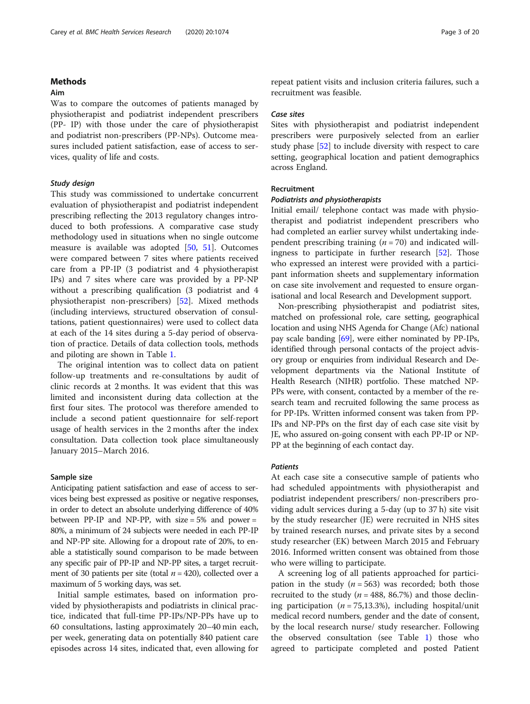#### Methods

#### Aim

Was to compare the outcomes of patients managed by physiotherapist and podiatrist independent prescribers (PP- IP) with those under the care of physiotherapist and podiatrist non-prescribers (PP-NPs). Outcome measures included patient satisfaction, ease of access to services, quality of life and costs.

#### Study design

This study was commissioned to undertake concurrent evaluation of physiotherapist and podiatrist independent prescribing reflecting the 2013 regulatory changes introduced to both professions. A comparative case study methodology used in situations when no single outcome measure is available was adopted [\[50](#page-18-0), [51\]](#page-18-0). Outcomes were compared between 7 sites where patients received care from a PP-IP (3 podiatrist and 4 physiotherapist IPs) and 7 sites where care was provided by a PP-NP without a prescribing qualification (3 podiatrist and 4 physiotherapist non-prescribers) [[52\]](#page-19-0). Mixed methods (including interviews, structured observation of consultations, patient questionnaires) were used to collect data at each of the 14 sites during a 5-day period of observation of practice. Details of data collection tools, methods and piloting are shown in Table [1.](#page-3-0)

The original intention was to collect data on patient follow-up treatments and re-consultations by audit of clinic records at 2 months. It was evident that this was limited and inconsistent during data collection at the first four sites. The protocol was therefore amended to include a second patient questionnaire for self-report usage of health services in the 2 months after the index consultation. Data collection took place simultaneously January 2015–March 2016.

#### Sample size

Anticipating patient satisfaction and ease of access to services being best expressed as positive or negative responses, in order to detect an absolute underlying difference of 40% between PP-IP and NP-PP, with  $size = 5\%$  and power = 80%, a minimum of 24 subjects were needed in each PP-IP and NP-PP site. Allowing for a dropout rate of 20%, to enable a statistically sound comparison to be made between any specific pair of PP-IP and NP-PP sites, a target recruitment of 30 patients per site (total  $n = 420$ ), collected over a maximum of 5 working days, was set.

Initial sample estimates, based on information provided by physiotherapists and podiatrists in clinical practice, indicated that full-time PP-IPs/NP-PPs have up to 60 consultations, lasting approximately 20–40 min each, per week, generating data on potentially 840 patient care episodes across 14 sites, indicated that, even allowing for repeat patient visits and inclusion criteria failures, such a recruitment was feasible.

#### Case sites

Sites with physiotherapist and podiatrist independent prescribers were purposively selected from an earlier study phase [\[52\]](#page-19-0) to include diversity with respect to care setting, geographical location and patient demographics across England.

#### Recruitment

#### Podiatrists and physiotherapists

Initial email/ telephone contact was made with physiotherapist and podiatrist independent prescribers who had completed an earlier survey whilst undertaking independent prescribing training  $(n = 70)$  and indicated willingness to participate in further research [[52\]](#page-19-0). Those who expressed an interest were provided with a participant information sheets and supplementary information on case site involvement and requested to ensure organisational and local Research and Development support.

Non-prescribing physiotherapist and podiatrist sites, matched on professional role, care setting, geographical location and using NHS Agenda for Change (Afc) national pay scale banding [\[69\]](#page-19-0), were either nominated by PP-IPs, identified through personal contacts of the project advisory group or enquiries from individual Research and Development departments via the National Institute of Health Research (NIHR) portfolio. These matched NP-PPs were, with consent, contacted by a member of the research team and recruited following the same process as for PP-IPs. Written informed consent was taken from PP-IPs and NP-PPs on the first day of each case site visit by JE, who assured on-going consent with each PP-IP or NP-PP at the beginning of each contact day.

#### Patients

At each case site a consecutive sample of patients who had scheduled appointments with physiotherapist and podiatrist independent prescribers/ non-prescribers providing adult services during a 5-day (up to 37 h) site visit by the study researcher (JE) were recruited in NHS sites by trained research nurses, and private sites by a second study researcher (EK) between March 2015 and February 2016. Informed written consent was obtained from those who were willing to participate.

A screening log of all patients approached for participation in the study ( $n = 563$ ) was recorded; both those recruited to the study ( $n = 488, 86.7\%$ ) and those declining participation ( $n = 75,13.3%$ ), including hospital/unit medical record numbers, gender and the date of consent, by the local research nurse/ study researcher. Following the observed consultation (see Table [1\)](#page-3-0) those who agreed to participate completed and posted Patient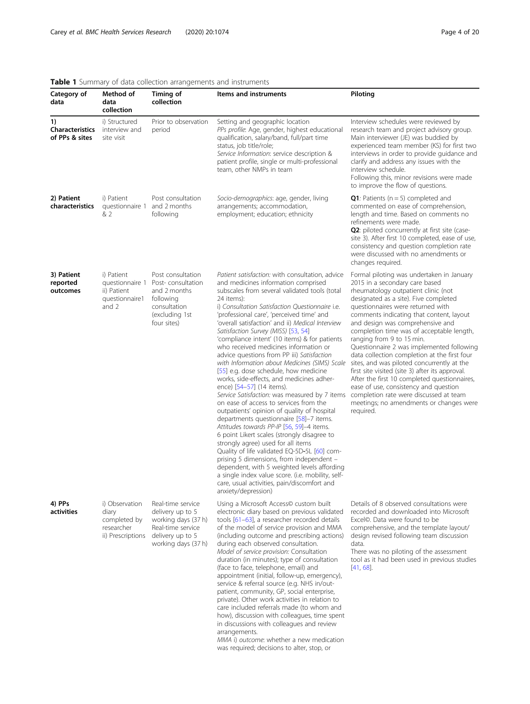## <span id="page-3-0"></span>Table 1 Summary of data collection arrangements and instruments

| Category of<br>data                            | Method of<br>data<br>collection                                            | Timing of<br>collection                                                                                                      | Items and instruments                                                                                                                                                                                                                                                                                                                                                                                                                                                                                                                                                                                                                                                                                                                                                                                                                                                                                                                                                                                                                                                                                                                                                                                                                                     | Piloting                                                                                                                                                                                                                                                                                                                                                                                                                                                                                                                                                                                                                                                                                                                                            |
|------------------------------------------------|----------------------------------------------------------------------------|------------------------------------------------------------------------------------------------------------------------------|-----------------------------------------------------------------------------------------------------------------------------------------------------------------------------------------------------------------------------------------------------------------------------------------------------------------------------------------------------------------------------------------------------------------------------------------------------------------------------------------------------------------------------------------------------------------------------------------------------------------------------------------------------------------------------------------------------------------------------------------------------------------------------------------------------------------------------------------------------------------------------------------------------------------------------------------------------------------------------------------------------------------------------------------------------------------------------------------------------------------------------------------------------------------------------------------------------------------------------------------------------------|-----------------------------------------------------------------------------------------------------------------------------------------------------------------------------------------------------------------------------------------------------------------------------------------------------------------------------------------------------------------------------------------------------------------------------------------------------------------------------------------------------------------------------------------------------------------------------------------------------------------------------------------------------------------------------------------------------------------------------------------------------|
| 1)<br><b>Characteristics</b><br>of PPs & sites | i) Structured<br>interview and<br>site visit                               | Prior to observation<br>period                                                                                               | Setting and geographic location<br>PPs profile: Age, gender, highest educational<br>qualification, salary/band, full/part time<br>status, job title/role;<br>Service Information: service description &<br>patient profile, single or multi-professional<br>team, other NMPs in team                                                                                                                                                                                                                                                                                                                                                                                                                                                                                                                                                                                                                                                                                                                                                                                                                                                                                                                                                                      | Interview schedules were reviewed by<br>research team and project advisory group.<br>Main interviewer (JE) was buddied by<br>experienced team member (KS) for first two<br>interviews in order to provide guidance and<br>clarify and address any issues with the<br>interview schedule.<br>Following this, minor revisions were made<br>to improve the flow of questions.                                                                                                                                                                                                                                                                                                                                                                          |
| 2) Patient<br>characteristics                  | i) Patient<br>questionnaire 1 and 2 months<br>& 2                          | Post consultation<br>following                                                                                               | Socio-demographics: age, gender, living<br>arrangements; accommodation,<br>employment; education; ethnicity                                                                                                                                                                                                                                                                                                                                                                                                                                                                                                                                                                                                                                                                                                                                                                                                                                                                                                                                                                                                                                                                                                                                               | Q1: Patients ( $n = 5$ ) completed and<br>commented on ease of comprehension,<br>length and time. Based on comments no<br>refinements were made.<br>Q2: piloted concurrently at first site (case-<br>site 3). After first 10 completed, ease of use,<br>consistency and question completion rate<br>were discussed with no amendments or<br>changes required.                                                                                                                                                                                                                                                                                                                                                                                       |
| 3) Patient<br>reported<br>outcomes             | i) Patient<br>questionnaire 1<br>ii) Patient<br>questionnaire1<br>and 2    | Post consultation<br>Post-consultation<br>and 2 months<br>following<br>consultation<br>(excluding 1st<br>four sites)         | Patient satisfaction: with consultation, advice<br>and medicines information comprised<br>subscales from several validated tools (total<br>24 items):<br>i) Consultation Satisfaction Questionnaire i.e.<br>'professional care', 'perceived time' and<br>'overall satisfaction' and ii) Medical Interview<br>Satisfaction Survey (MISS) [53, 54]<br>'compliance intent' (10 items) & for patients<br>who received medicines information or<br>advice questions from PP iii) Satisfaction<br>with Information about Medicines (SIMS) Scale<br>[55] e.g. dose schedule, how medicine<br>works, side-effects, and medicines adher-<br>ence) [54-57] (14 items).<br>Service Satisfaction: was measured by 7 items<br>on ease of access to services from the<br>outpatients' opinion of quality of hospital<br>departments questionnaire [58]–7 items.<br>Attitudes towards PP-IP [56, 59]-4 items.<br>6 point Likert scales (strongly disagree to<br>strongly agree) used for all items<br>Quality of life validated EQ-5D-5L [60] com-<br>prising 5 dimensions, from independent -<br>dependent, with 5 weighted levels affording<br>a single index value score. (i.e. mobility, self-<br>care, usual activities, pain/discomfort and<br>anxiety/depression) | Formal piloting was undertaken in January<br>2015 in a secondary care based<br>rheumatology outpatient clinic (not<br>designated as a site). Five completed<br>questionnaires were returned with<br>comments indicating that content, layout<br>and design was comprehensive and<br>completion time was of acceptable length,<br>ranging from 9 to 15 min.<br>Questionnaire 2 was implemented following<br>data collection completion at the first four<br>sites, and was piloted concurrently at the<br>first site visited (site 3) after its approval.<br>After the first 10 completed questionnaires,<br>ease of use, consistency and question<br>completion rate were discussed at team<br>meetings; no amendments or changes were<br>required. |
| 4) PPs<br>activities                           | i) Observation<br>diary<br>completed by<br>researcher<br>ii) Prescriptions | Real-time service<br>delivery up to 5<br>working days (37 h)<br>Real-time service<br>delivery up to 5<br>working days (37 h) | Using a Microsoft Access© custom built<br>electronic diary based on previous validated<br>tools [61-63], a researcher recorded details<br>of the model of service provision and MMA<br>(including outcome and prescribing actions)<br>during each observed consultation.<br>Model of service provision: Consultation<br>duration (in minutes); type of consultation<br>(face to face, telephone, email) and<br>appointment (initial, follow-up, emergency),<br>service & referral source (e.g. NHS in/out-<br>patient, community, GP, social enterprise,<br>private). Other work activities in relation to<br>care included referrals made (to whom and<br>how), discussion with colleagues, time spent<br>in discussions with colleagues and review<br>arrangements.                                                                                                                                                                                                                                                                                                                                                                                                                                                                                     | Details of 8 observed consultations were<br>recorded and downloaded into Microsoft<br>Excel <sup>®</sup> . Data were found to be<br>comprehensive, and the template layout/<br>design revised following team discussion<br>data.<br>There was no piloting of the assessment<br>tool as it had been used in previous studies<br>$[41, 68]$ .                                                                                                                                                                                                                                                                                                                                                                                                         |

MMA i) outcome: whether a new medication was required; decisions to alter, stop, or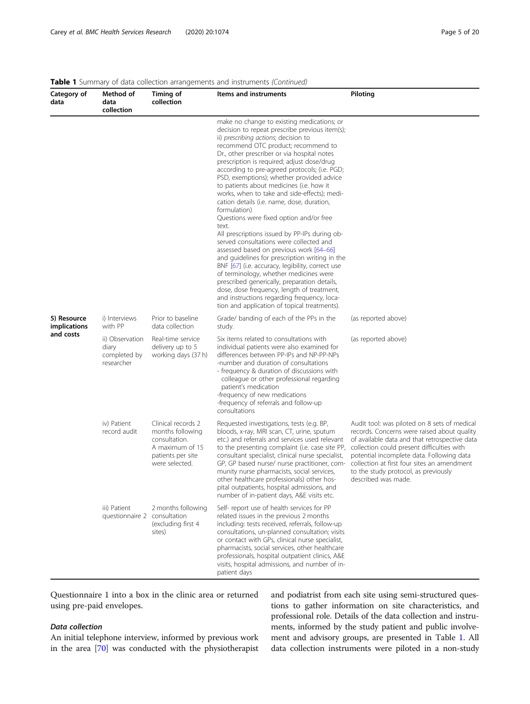#### Table 1 Summary of data collection arrangements and instruments (Continued)

| Category of<br>data         | Method of<br>data<br>collection                        | Timing of<br>collection                                                                                           | Items and instruments                                                                                                                                                                                                                                                                                                                                                                                                                                                                                                                                                                                                                                                                                                                                                                                                                                                                                                                                                                                                                                                    | Piloting                                                                                                                                                                                                                                                                                                                                              |
|-----------------------------|--------------------------------------------------------|-------------------------------------------------------------------------------------------------------------------|--------------------------------------------------------------------------------------------------------------------------------------------------------------------------------------------------------------------------------------------------------------------------------------------------------------------------------------------------------------------------------------------------------------------------------------------------------------------------------------------------------------------------------------------------------------------------------------------------------------------------------------------------------------------------------------------------------------------------------------------------------------------------------------------------------------------------------------------------------------------------------------------------------------------------------------------------------------------------------------------------------------------------------------------------------------------------|-------------------------------------------------------------------------------------------------------------------------------------------------------------------------------------------------------------------------------------------------------------------------------------------------------------------------------------------------------|
|                             |                                                        |                                                                                                                   | make no change to existing medications; or<br>decision to repeat prescribe previous item(s);<br>ii) prescribing actions; decision to<br>recommend OTC product; recommend to<br>Dr., other prescriber or via hospital notes<br>prescription is required; adjust dose/drug<br>according to pre-agreed protocols; (i.e. PGD;<br>PSD, exemptions); whether provided advice<br>to patients about medicines (i.e. how it<br>works, when to take and side-effects); medi-<br>cation details (i.e. name, dose, duration,<br>formulation)<br>Questions were fixed option and/or free<br>text.<br>All prescriptions issued by PP-IPs during ob-<br>served consultations were collected and<br>assessed based on previous work [64-66]<br>and quidelines for prescription writing in the<br>BNF [67] (i.e. accuracy, legibility, correct use<br>of terminology, whether medicines were<br>prescribed generically, preparation details,<br>dose, dose frequency, length of treatment,<br>and instructions regarding frequency, loca-<br>tion and application of topical treatments). |                                                                                                                                                                                                                                                                                                                                                       |
| 5) Resource<br>implications | i) Interviews<br>with PP                               | Prior to baseline<br>data collection                                                                              | Grade/ banding of each of the PPs in the<br>study.                                                                                                                                                                                                                                                                                                                                                                                                                                                                                                                                                                                                                                                                                                                                                                                                                                                                                                                                                                                                                       | (as reported above)                                                                                                                                                                                                                                                                                                                                   |
| and costs                   | ii) Observation<br>diary<br>completed by<br>researcher | Real-time service<br>delivery up to 5<br>working days (37 h)                                                      | Six items related to consultations with<br>individual patients were also examined for<br>differences between PP-IPs and NP-PP-NPs<br>-number and duration of consultations<br>- frequency & duration of discussions with<br>colleague or other professional regarding<br>patient's medication<br>-frequency of new medications<br>-frequency of referrals and follow-up<br>consultations                                                                                                                                                                                                                                                                                                                                                                                                                                                                                                                                                                                                                                                                                 | (as reported above)                                                                                                                                                                                                                                                                                                                                   |
|                             | iv) Patient<br>record audit                            | Clinical records 2<br>months following<br>consultation.<br>A maximum of 15<br>patients per site<br>were selected. | Requested investigations, tests (e.g. BP,<br>bloods, x-ray, MRI scan, CT, urine, sputum<br>etc.) and referrals and services used relevant<br>to the presenting complaint (i.e. case site PP,<br>consultant specialist, clinical nurse specialist,<br>GP, GP based nurse/ nurse practitioner, com-<br>munity nurse pharmacists, social services,<br>other healthcare professionals) other hos-<br>pital outpatients, hospital admissions, and<br>number of in-patient days, A&E visits etc.                                                                                                                                                                                                                                                                                                                                                                                                                                                                                                                                                                               | Audit tool: was piloted on 8 sets of medical<br>records. Concerns were raised about quality<br>of available data and that retrospective data<br>collection could present difficulties with<br>potential incomplete data. Following data<br>collection at first four sites an amendment<br>to the study protocol, as previously<br>described was made. |
|                             | iii) Patient<br>questionnaire 2 consultation           | 2 months following<br>(excluding first 4<br>sites)                                                                | Self- report use of health services for PP<br>related issues in the previous 2 months<br>including: tests received, referrals, follow-up<br>consultations, un-planned consultation; visits<br>or contact with GPs, clinical nurse specialist,<br>pharmacists, social services, other healthcare<br>professionals, hospital outpatient clinics, A&E<br>visits, hospital admissions, and number of in-<br>patient days                                                                                                                                                                                                                                                                                                                                                                                                                                                                                                                                                                                                                                                     |                                                                                                                                                                                                                                                                                                                                                       |

Questionnaire 1 into a box in the clinic area or returned using pre-paid envelopes.

## Data collection

An initial telephone interview, informed by previous work in the area [\[70\]](#page-19-0) was conducted with the physiotherapist and podiatrist from each site using semi-structured questions to gather information on site characteristics, and professional role. Details of the data collection and instruments, informed by the study patient and public involvement and advisory groups, are presented in Table [1.](#page-3-0) All data collection instruments were piloted in a non-study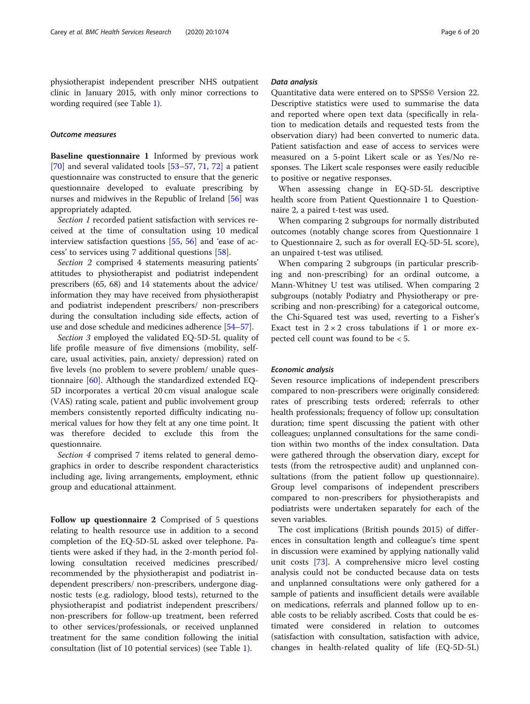physiotherapist independent prescriber NHS outpatient clinic in January 2015, with only minor corrections to wording required (see Table [1\)](#page-3-0).

#### Outcome measures

Baseline questionnaire 1 Informed by previous work [[70\]](#page-19-0) and several validated tools  $[53-57, 71, 72]$  $[53-57, 71, 72]$  $[53-57, 71, 72]$  $[53-57, 71, 72]$  $[53-57, 71, 72]$  $[53-57, 71, 72]$  $[53-57, 71, 72]$  $[53-57, 71, 72]$  a patient questionnaire was constructed to ensure that the generic questionnaire developed to evaluate prescribing by nurses and midwives in the Republic of Ireland [\[56](#page-19-0)] was appropriately adapted.

Section 1 recorded patient satisfaction with services received at the time of consultation using 10 medical interview satisfaction questions [[55,](#page-19-0) [56](#page-19-0)] and 'ease of access' to services using 7 additional questions [[58](#page-19-0)].

Section 2 comprised 4 statements measuring patients' attitudes to physiotherapist and podiatrist independent prescribers (65, 68) and 14 statements about the advice/ information they may have received from physiotherapist and podiatrist independent prescribers/ non-prescribers during the consultation including side effects, action of use and dose schedule and medicines adherence [[54](#page-19-0)–[57\]](#page-19-0).

Section 3 employed the validated EQ-5D-5L quality of life profile measure of five dimensions (mobility, selfcare, usual activities, pain, anxiety/ depression) rated on five levels (no problem to severe problem/ unable questionnaire [\[60](#page-19-0)]. Although the standardized extended EQ-5D incorporates a vertical 20 cm visual analogue scale (VAS) rating scale, patient and public involvement group members consistently reported difficulty indicating numerical values for how they felt at any one time point. It was therefore decided to exclude this from the questionnaire.

Section 4 comprised 7 items related to general demographics in order to describe respondent characteristics including age, living arrangements, employment, ethnic group and educational attainment.

Follow up questionnaire 2 Comprised of 5 questions relating to health resource use in addition to a second completion of the EQ-5D-5L asked over telephone. Patients were asked if they had, in the 2-month period following consultation received medicines prescribed/ recommended by the physiotherapist and podiatrist independent prescribers/ non-prescribers, undergone diagnostic tests (e.g. radiology, blood tests), returned to the physiotherapist and podiatrist independent prescribers/ non-prescribers for follow-up treatment, been referred to other services/professionals, or received unplanned treatment for the same condition following the initial consultation (list of 10 potential services) (see Table [1\)](#page-3-0).

#### Data analysis

Quantitative data were entered on to SPSS© Version 22. Descriptive statistics were used to summarise the data and reported where open text data (specifically in relation to medication details and requested tests from the observation diary) had been converted to numeric data. Patient satisfaction and ease of access to services were measured on a 5-point Likert scale or as Yes/No responses. The Likert scale responses were easily reducible to positive or negative responses.

When assessing change in EQ-5D-5L descriptive health score from Patient Questionnaire 1 to Questionnaire 2, a paired t-test was used.

When comparing 2 subgroups for normally distributed outcomes (notably change scores from Questionnaire 1 to Questionnaire 2, such as for overall EQ-5D-5L score), an unpaired t-test was utilised.

When comparing 2 subgroups (in particular prescribing and non-prescribing) for an ordinal outcome, a Mann-Whitney U test was utilised. When comparing 2 subgroups (notably Podiatry and Physiotherapy or prescribing and non-prescribing) for a categorical outcome, the Chi-Squared test was used, reverting to a Fisher's Exact test in  $2 \times 2$  cross tabulations if 1 or more expected cell count was found to be < 5.

#### Economic analysis

Seven resource implications of independent prescribers compared to non-prescribers were originally considered: rates of prescribing tests ordered; referrals to other health professionals; frequency of follow up; consultation duration; time spent discussing the patient with other colleagues; unplanned consultations for the same condition within two months of the index consultation. Data were gathered through the observation diary, except for tests (from the retrospective audit) and unplanned consultations (from the patient follow up questionnaire). Group level comparisons of independent prescribers compared to non-prescribers for physiotherapists and podiatrists were undertaken separately for each of the seven variables.

The cost implications (British pounds 2015) of differences in consultation length and colleague's time spent in discussion were examined by applying nationally valid unit costs [[73\]](#page-19-0). A comprehensive micro level costing analysis could not be conducted because data on tests and unplanned consultations were only gathered for a sample of patients and insufficient details were available on medications, referrals and planned follow up to enable costs to be reliably ascribed. Costs that could be estimated were considered in relation to outcomes (satisfaction with consultation, satisfaction with advice, changes in health-related quality of life (EQ-5D-5L)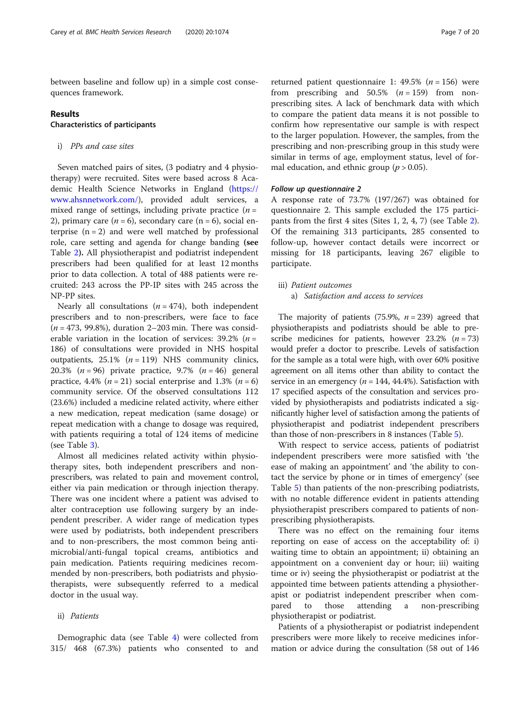between baseline and follow up) in a simple cost consequences framework.

#### Results

## Characteristics of participants

#### i) PPs and case sites

Seven matched pairs of sites, (3 podiatry and 4 physiotherapy) were recruited. Sites were based across 8 Academic Health Science Networks in England ([https://](https://www.ahsnnetwork.com/) [www.ahsnnetwork.com/](https://www.ahsnnetwork.com/)), provided adult services, a mixed range of settings, including private practice  $(n =$ 2), primary care ( $n = 6$ ), secondary care ( $n = 6$ ), social enterprise  $(n = 2)$  and were well matched by professional role, care setting and agenda for change banding (see Table [2](#page-7-0)). All physiotherapist and podiatrist independent prescribers had been qualified for at least 12 months prior to data collection. A total of 488 patients were recruited: 243 across the PP-IP sites with 245 across the NP-PP sites.

Nearly all consultations  $(n = 474)$ , both independent prescribers and to non-prescribers, were face to face  $(n = 473, 99.8\%)$ , duration 2-203 min. There was considerable variation in the location of services:  $39.2\%$  (*n* = 186) of consultations were provided in NHS hospital outpatients,  $25.1\%$  ( $n = 119$ ) NHS community clinics, 20.3% ( $n = 96$ ) private practice, 9.7% ( $n = 46$ ) general practice, 4.4% ( $n = 21$ ) social enterprise and 1.3% ( $n = 6$ ) community service. Of the observed consultations 112 (23.6%) included a medicine related activity, where either a new medication, repeat medication (same dosage) or repeat medication with a change to dosage was required, with patients requiring a total of 124 items of medicine (see Table [3](#page-8-0)).

Almost all medicines related activity within physiotherapy sites, both independent prescribers and nonprescribers, was related to pain and movement control, either via pain medication or through injection therapy. There was one incident where a patient was advised to alter contraception use following surgery by an independent prescriber. A wider range of medication types were used by podiatrists, both independent prescribers and to non-prescribers, the most common being antimicrobial/anti-fungal topical creams, antibiotics and pain medication. Patients requiring medicines recommended by non-prescribers, both podiatrists and physiotherapists, were subsequently referred to a medical doctor in the usual way.

#### ii) Patients

Demographic data (see Table [4\)](#page-8-0) were collected from 315/ 468 (67.3%) patients who consented to and

returned patient questionnaire 1: 49.5% ( $n = 156$ ) were from prescribing and  $50.5\%$  ( $n = 159$ ) from nonprescribing sites. A lack of benchmark data with which to compare the patient data means it is not possible to confirm how representative our sample is with respect to the larger population. However, the samples, from the prescribing and non-prescribing group in this study were similar in terms of age, employment status, level of formal education, and ethnic group ( $p > 0.05$ ).

#### Follow up questionnaire 2

A response rate of 73.7% (197/267) was obtained for questionnaire 2. This sample excluded the 175 participants from the first 4 sites (Sites 1, 2, 4, 7) (see Table [2](#page-7-0)). Of the remaining 313 participants, 285 consented to follow-up, however contact details were incorrect or missing for 18 participants, leaving 267 eligible to participate.

iii) Patient outcomes

#### a) Satisfaction and access to services

The majority of patients (75.9%,  $n = 239$ ) agreed that physiotherapists and podiatrists should be able to prescribe medicines for patients, however  $23.2\%$  (*n* = 73) would prefer a doctor to prescribe. Levels of satisfaction for the sample as a total were high, with over 60% positive agreement on all items other than ability to contact the service in an emergency ( $n = 144, 44.4%$ ). Satisfaction with 17 specified aspects of the consultation and services provided by physiotherapists and podiatrists indicated a significantly higher level of satisfaction among the patients of physiotherapist and podiatrist independent prescribers than those of non-prescribers in 8 instances (Table [5](#page-9-0)).

With respect to service access, patients of podiatrist independent prescribers were more satisfied with 'the ease of making an appointment' and 'the ability to contact the service by phone or in times of emergency' (see Table [5\)](#page-9-0) than patients of the non-prescribing podiatrists, with no notable difference evident in patients attending physiotherapist prescribers compared to patients of nonprescribing physiotherapists.

There was no effect on the remaining four items reporting on ease of access on the acceptability of: i) waiting time to obtain an appointment; ii) obtaining an appointment on a convenient day or hour; iii) waiting time or iv) seeing the physiotherapist or podiatrist at the appointed time between patients attending a physiotherapist or podiatrist independent prescriber when compared to those attending a non-prescribing physiotherapist or podiatrist.

Patients of a physiotherapist or podiatrist independent prescribers were more likely to receive medicines information or advice during the consultation (58 out of 146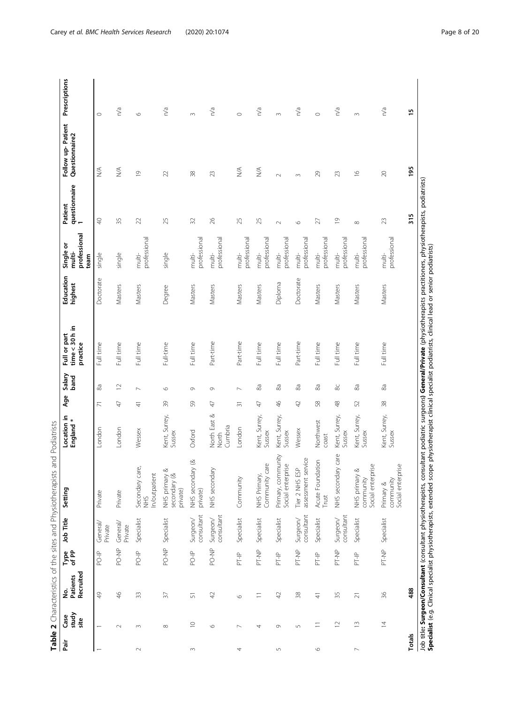<span id="page-7-0"></span>

| Pair                                          | study<br>Case<br>site    | Recruited<br>No.<br>Patients | Type<br>of Pp          | Job Title              | Setting                                            | Location in<br>England*          | Age            | Salary<br>band | $time < 30h$ in<br>Full or part<br>practice                                                                                                                                                                                                       | Education<br>highest | professional<br>Single or<br>multi-<br>team | questionnaire<br>1<br>Patient | Follow up-Patient<br>Questionnaire2 | Prescriptions |
|-----------------------------------------------|--------------------------|------------------------------|------------------------|------------------------|----------------------------------------------------|----------------------------------|----------------|----------------|---------------------------------------------------------------------------------------------------------------------------------------------------------------------------------------------------------------------------------------------------|----------------------|---------------------------------------------|-------------------------------|-------------------------------------|---------------|
| $\overline{\phantom{0}}$                      | $\overline{\phantom{0}}$ | $\frac{1}{2}$                | PO-IP                  | General/<br>Private    | Private                                            | London                           | π              | 89             | Full time                                                                                                                                                                                                                                         | Doctorate            | single                                      | $\overline{P}$                | $\lessgtr$                          | $\circ$       |
|                                               | $\sim$                   | $\frac{4}{5}$                | PO-NP                  | General/<br>Private    | Private                                            | London                           | $\overline{4}$ | $\supseteq$    | Full time                                                                                                                                                                                                                                         | Masters              | single                                      | 35                            | $\lessgtr$                          | n/a           |
| $\sim$                                        | $\sim$                   | $33$                         | PO-IP                  | Specialist             | Secondary care,<br>In/outpatient<br>9H<br>三        | Wessex                           | $\frac{4}{7}$  | $\sim$         | Full time                                                                                                                                                                                                                                         | Masters              | professional<br>multi-                      | 22                            | $\overline{0}$                      | $\circ$       |
|                                               | $\infty$                 | $\sqrt{2}$                   | PO-NP                  | Specialist             | ∞<br>secondary (&<br>NHS primary<br>private)       | Kent, Surrey,<br>Sussex          | $\frac{8}{3}$  | $\circ$        | Full-time                                                                                                                                                                                                                                         | Degree               | single                                      | 25                            | $\mathcal{Z}$                       | n/a           |
| $\sim$                                        | $\supseteq$              | 57                           | PO-IP                  | consultant<br>Surgeon/ | NHS secondary (&<br>private)                       | Oxford                           | SG             | $\circ$        | Full time                                                                                                                                                                                                                                         | Masters              | professional<br>$m$ ulti-                   | 32                            | $38$                                | $\infty$      |
|                                               | $\circ$                  | $\overline{4}$               | PO-NP                  | consultant<br>Surgeon/ | NHS secondary                                      | North East &<br>North<br>Cumbria | $\overline{4}$ | G              | Part-time                                                                                                                                                                                                                                         | Masters              | professional<br>multi-                      | 26                            | $\approx$                           | n/a           |
| 4                                             | $\sim$                   | $\circ$                      | $\frac{\rho}{\Gamma-}$ | Specialist             | Community                                          | London                           | $\overline{5}$ | $\overline{ }$ | Part-time                                                                                                                                                                                                                                         | Masters              | professional<br>$m$ ulti-                   | 25                            | $\lessgtr$                          | $\circ$       |
|                                               | 4                        | $\equiv$                     | PT-NP                  | Specialist             | care<br>NHS Primary<br>Community                   | Kent, Surrey,<br>Sussex          | $\overline{4}$ | 89             | Full time                                                                                                                                                                                                                                         | Masters              | professional<br>multi-                      | 25                            | $\lessgtr$                          | n/a           |
| $\mathsf{L}\cap$                              | $\circ$                  | $42$                         | $PT-P$                 | Specialist             | Primary, community<br>Social enterprise            | Kent, Surrey,<br>Sussex          | Ҿ              | 89             | Full time                                                                                                                                                                                                                                         | Diploma              | professional<br>$m$ ulti-                   | $\sim$                        | $\sim$                              | $\infty$      |
|                                               | $\sqrt{2}$               | $38$                         | PT-NP                  | consultant<br>Surgeon/ | assessment service<br>Tier 2 NHS ESP               | Wessex                           | $\overline{4}$ | 88             | Part-time                                                                                                                                                                                                                                         | Doctorate            | professional<br>$m$ ulti-                   | $\circ$                       | $\sim$                              | n/a           |
| $\circ$                                       | $\equiv$                 | $\frac{4}{7}$                | $\frac{1}{\sqrt{2}}$   | Specialist             | Acute Foundation<br>Trust                          | Northwest<br>coast               | 58             | 8 <sup>a</sup> | Full time                                                                                                                                                                                                                                         | Masters              | professional<br>multi-                      | 27                            | 29                                  | $\circ$       |
|                                               | $\supseteq$              | 35                           | PT-NP                  | consultant<br>Surgeon/ | NHS secondary care                                 | Kent, Surrey,<br>Sussex          | $\frac{8}{3}$  | $\infty$       | Full time                                                                                                                                                                                                                                         | Masters              | professional<br>multi-                      | $\overline{0}$                | 23                                  | n/a           |
| $\mathord{\hspace{1pt}\text{--}\hspace{1pt}}$ | $\widetilde{\Box}$       | $\overline{c}$               | $PT-P$                 | Specialist             | Social enterprise<br>∞<br>NHS primary<br>community | Kent, Surrey,<br>Sussex          | 52             | 89             | Full time                                                                                                                                                                                                                                         | Masters              | professional<br>multi-                      | $\infty$                      | $\tilde{=}$                         | $\infty$      |
|                                               | $\overline{4}$           | 96                           | PT-NP                  | Specialist             | community<br>Social enterprise<br>Primary &        | Kent, Surrey,<br>Sussex          | $38$           | 88             | Full time                                                                                                                                                                                                                                         | Masters              | professional<br>multi-                      | 23                            | $\gtrsim$                           | n/a           |
| Totals                                        |                          | 488                          |                        |                        |                                                    |                                  |                |                |                                                                                                                                                                                                                                                   |                      |                                             | 315                           | 195                                 | <u>يا</u>     |
|                                               |                          |                              |                        |                        |                                                    |                                  |                |                | Job title <b>: Surgeon/Consultant</b> (consultant physiotherapists, consultant podiatric surgeons) <b>General/Private</b> (physiotherapists practitioners, physiotherapists, podiatrists)<br><b>Specialist</b> (e.g. Clinical specialist physioth |                      |                                             |                               |                                     |               |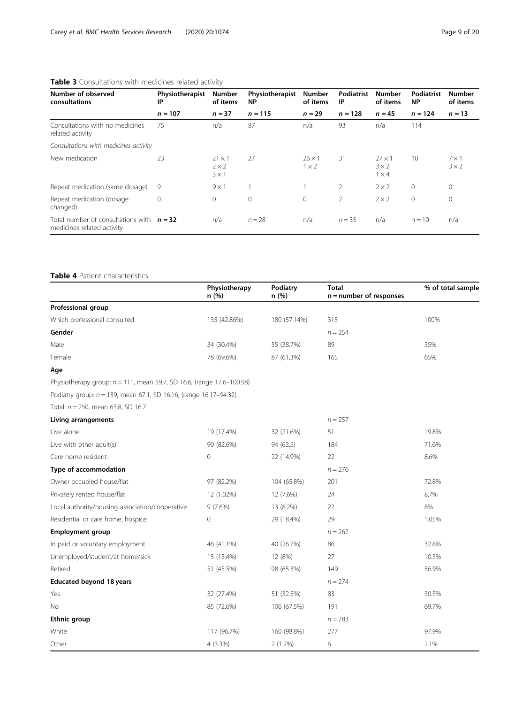## <span id="page-8-0"></span>Table 3 Consultations with medicines related activity

| Number of observed<br>consultations                                       | Physiotherapist<br>ΙP | <b>Number</b><br>of items                     | Physiotherapist<br><b>NP</b> | <b>Number</b><br>of items     | Podiatrist<br>IP | <b>Number</b><br>of items                   | Podiatrist<br><b>NP</b> | <b>Number</b><br>of items    |
|---------------------------------------------------------------------------|-----------------------|-----------------------------------------------|------------------------------|-------------------------------|------------------|---------------------------------------------|-------------------------|------------------------------|
|                                                                           | $n = 107$             | $n = 37$                                      | $n = 115$                    | $n = 29$                      | $n = 128$        | $n = 45$                                    | $n = 124$               | $n = 13$                     |
| Consultations with no medicines<br>related activity                       | 75                    | n/a                                           | 87                           | n/a                           | 93               | n/a                                         | 114                     |                              |
| Consultations with medicines activity                                     |                       |                                               |                              |                               |                  |                                             |                         |                              |
| New medication                                                            | 23                    | $21 \times 1$<br>$2 \times 2$<br>$3 \times 1$ | 27                           | $26 \times 1$<br>$1 \times 2$ | 31               | $27 \times 1$<br>$3 \times 2$<br>$1\times4$ | 10                      | $7 \times 1$<br>$3 \times 2$ |
| Repeat medication (same dosage)                                           | 9                     | $9 \times 1$                                  |                              |                               | 2                | $2 \times 2$                                | $\mathbf{0}$            | $\mathbf{0}$                 |
| Repeat medication (dosage<br>changed)                                     | $\mathbf{0}$          | $\circ$                                       | $\mathbf{0}$                 | $\mathbf{0}$                  | $\overline{2}$   | $2 \times 2$                                | $\mathbf{0}$            | $\mathbf{0}$                 |
| Total number of consultations with $n = 32$<br>medicines related activity |                       | n/a                                           | $n = 28$                     | n/a                           | $n = 35$         | n/a                                         | $n = 10$                | n/a                          |

## Table 4 Patient characteristics

|                                                                          | Physiotherapy<br>n(%) | Podiatry<br>n(%) | <b>Total</b><br>$n =$ number of responses | % of total sample |
|--------------------------------------------------------------------------|-----------------------|------------------|-------------------------------------------|-------------------|
| Professional group                                                       |                       |                  |                                           |                   |
| Which professional consulted                                             | 135 (42.86%)          | 180 (57.14%)     | 315                                       | 100%              |
| Gender                                                                   |                       |                  | $n = 254$                                 |                   |
| Male                                                                     | 34 (30.4%)            | 55 (38.7%)       | 89                                        | 35%               |
| Female                                                                   | 78 (69.6%)            | 87 (61.3%)       | 165                                       | 65%               |
| Age                                                                      |                       |                  |                                           |                   |
| Physiotherapy group: $n = 111$ , mean 59.7, SD 16.6, (range 17.6-100.98) |                       |                  |                                           |                   |
| Podiatry group: $n = 139$ , mean 67.1, SD 16.16, (range 16.17-94.32)     |                       |                  |                                           |                   |
| Total: $n = 250$ , mean 63.8, SD 16.7                                    |                       |                  |                                           |                   |
| Living arrangements                                                      |                       |                  | $n = 257$                                 |                   |
| Live alone                                                               | 19 (17.4%)            | 32 (21.6%)       | 51                                        | 19.8%             |
| Live with other adult(s)                                                 | 90 (82.6%)            | 94 (63.5)        | 184                                       | 71.6%             |
| Care home resident                                                       | 0                     | 22 (14.9%)       | 22                                        | 8.6%              |
| Type of accommodation                                                    |                       |                  | $n = 276$                                 |                   |
| Owner occupied house/flat                                                | 97 (82.2%)            | 104 (65.8%)      | 201                                       | 72.8%             |
| Privately rented house/flat                                              | 12 (1.02%)            | 12 (7.6%)        | 24                                        | 8.7%              |
| Local authority/housing association/cooperative                          | $9(7.6\%)$            | 13 (8.2%)        | 22                                        | 8%                |
| Residential or care home, hospice                                        | 0                     | 29 (18.4%)       | 29                                        | 1.05%             |
| <b>Employment group</b>                                                  |                       |                  | $n = 262$                                 |                   |
| In paid or voluntary employment                                          | 46 (41.1%)            | 40 (26.7%)       | 86                                        | 32.8%             |
| Unemployed/student/at home/sick                                          | 15 (13.4%)            | 12 (8%)          | 27                                        | 10.3%             |
| Retired                                                                  | 51 (45.5%)            | 98 (65.3%)       | 149                                       | 56.9%             |
| <b>Educated beyond 18 years</b>                                          |                       |                  | $n = 274$                                 |                   |
| Yes                                                                      | 32 (27.4%)            | 51 (32.5%)       | 83                                        | 30.3%             |
| No                                                                       | 85 (72.6%)            | 106 (67.5%)      | 191                                       | 69.7%             |
| Ethnic group                                                             |                       |                  | $n = 283$                                 |                   |
| White                                                                    | 117 (96.7%)           | 160 (98.8%)      | 277                                       | 97.9%             |
| Other                                                                    | 4 (3.3%)              | $2(1.2\%)$       | 6                                         | 2.1%              |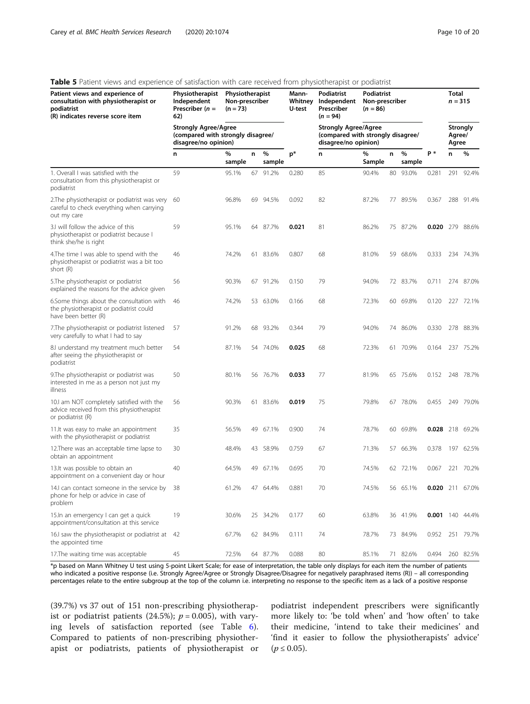<span id="page-9-0"></span>

| <b>Table 5</b> Patient views and experience of satisfaction with care received from physiotherapist or podiatrist |
|-------------------------------------------------------------------------------------------------------------------|
|-------------------------------------------------------------------------------------------------------------------|

| Patient views and experience of<br>consultation with physiotherapist or<br>podiatrist<br>(R) indicates reverse score item | Physiotherapist<br>Independent<br>Prescriber $(n =$<br>62)                               | Physiotherapist<br>Non-prescriber<br>$(n = 73)$ |    |                | Mann-<br>Whitney<br>U-test | Podiatrist<br>Independent<br>Prescriber<br>$(n = 94)$                                    | Podiatrist<br>Non-prescriber<br>$(n = 86)$ |    |             |       | Total<br>$n = 315$ |                 |
|---------------------------------------------------------------------------------------------------------------------------|------------------------------------------------------------------------------------------|-------------------------------------------------|----|----------------|----------------------------|------------------------------------------------------------------------------------------|--------------------------------------------|----|-------------|-------|--------------------|-----------------|
|                                                                                                                           | <b>Strongly Agree/Agree</b><br>(compared with strongly disagree/<br>disagree/no opinion) |                                                 |    |                |                            | <b>Strongly Agree/Agree</b><br>(compared with strongly disagree/<br>disagree/no opinion) |                                            |    |             |       | Agree/<br>Agree    | <b>Strongly</b> |
|                                                                                                                           | n                                                                                        | %<br>sample                                     | n  | $\%$<br>sample | $p*$                       | n                                                                                        | %<br>Sample                                | n  | %<br>sample | P*    | n                  | %               |
| 1. Overall I was satisfied with the<br>consultation from this physiotherapist or<br>podiatrist                            | 59                                                                                       | 95.1%                                           |    | 67 91.2%       | 0.280                      | 85                                                                                       | 90.4%                                      |    | 80 93.0%    | 0.281 | 291                | 92.4%           |
| 2. The physiotherapist or podiatrist was very<br>careful to check everything when carrying<br>out my care                 | 60                                                                                       | 96.8%                                           | 69 | 94.5%          | 0.092                      | 82                                                                                       | 87.2%                                      |    | 77 89.5%    | 0.367 |                    | 288 91.4%       |
| 3.I will follow the advice of this<br>physiotherapist or podiatrist because I<br>think she/he is right                    | 59                                                                                       | 95.1%                                           |    | 64 87.7%       | 0.021                      | 81                                                                                       | 86.2%                                      |    | 75 87.2%    |       |                    | 0.020 279 88.6% |
| 4. The time I was able to spend with the<br>physiotherapist or podiatrist was a bit too<br>short (R)                      | 46                                                                                       | 74.2%                                           |    | 61 83.6%       | 0.807                      | 68                                                                                       | 81.0%                                      |    | 59 68.6%    | 0.333 |                    | 234 74.3%       |
| 5. The physiotherapist or podiatrist<br>explained the reasons for the advice given                                        | 56                                                                                       | 90.3%                                           | 67 | 91.2%          | 0.150                      | 79                                                                                       | 94.0%                                      |    | 72 83.7%    | 0.711 |                    | 274 87.0%       |
| 6.Some things about the consultation with<br>the physiotherapist or podiatrist could<br>have been better (R)              | 46                                                                                       | 74.2%                                           |    | 53 63.0%       | 0.166                      | 68                                                                                       | 72.3%                                      |    | 60 69.8%    | 0.120 |                    | 227 72.1%       |
| 7. The physiotherapist or podiatrist listened<br>very carefully to what I had to say                                      | 57                                                                                       | 91.2%                                           | 68 | 93.2%          | 0.344                      | 79                                                                                       | 94.0%                                      |    | 74 86.0%    | 0.330 | 278                | 88.3%           |
| 8.I understand my treatment much better<br>after seeing the physiotherapist or<br>podiatrist                              | 54                                                                                       | 87.1%                                           |    | 54 74.0%       | 0.025                      | 68                                                                                       | 72.3%                                      |    | 61 70.9%    | 0.164 |                    | 237 75.2%       |
| 9. The physiotherapist or podiatrist was<br>interested in me as a person not just my<br>illness                           | 50                                                                                       | 80.1%                                           |    | 56 76.7%       | 0.033                      | 77                                                                                       | 81.9%                                      |    | 65 75.6%    | 0.152 |                    | 248 78.7%       |
| 10. I am NOT completely satisfied with the<br>advice received from this physiotherapist<br>or podiatrist (R)              | 56                                                                                       | 90.3%                                           |    | 61 83.6%       | 0.019                      | 75                                                                                       | 79.8%                                      |    | 67 78.0%    | 0.455 |                    | 249 79.0%       |
| 11. It was easy to make an appointment<br>with the physiotherapist or podiatrist                                          | 35                                                                                       | 56.5%                                           | 49 | 67.1%          | 0.900                      | 74                                                                                       | 78.7%                                      |    | 60 69.8%    | 0.028 |                    | 218 69.2%       |
| 12. There was an acceptable time lapse to<br>obtain an appointment                                                        | 30                                                                                       | 48.4%                                           | 43 | 58.9%          | 0.759                      | 67                                                                                       | 71.3%                                      | 57 | 66.3%       | 0.378 | 197                | 62.5%           |
| 13. It was possible to obtain an<br>appointment on a convenient day or hour                                               | 40                                                                                       | 64.5%                                           | 49 | 67.1%          | 0.695                      | 70                                                                                       | 74.5%                                      |    | 62 72.1%    | 0.067 | 221                | 70.2%           |
| 14. I can contact someone in the service by 38<br>phone for help or advice in case of<br>problem                          |                                                                                          | 61.2%                                           |    | 47 64.4%       | 0.881                      | 70                                                                                       | 74.5%                                      |    | 56 65.1%    |       |                    | 0.020 211 67.0% |
| 15. In an emergency I can get a quick<br>appointment/consultation at this service                                         | 19                                                                                       | 30.6%                                           |    | 25 34.2%       | 0.177                      | 60                                                                                       | 63.8%                                      |    | 36 41.9%    |       |                    | 0.001 140 44.4% |
| 16. I saw the physiotherapist or podiatrist at 42<br>the appointed time                                                   |                                                                                          | 67.7%                                           |    | 62 84.9%       | 0.111                      | 74                                                                                       | 78.7%                                      |    | 73 84.9%    | 0.952 | 251                | 79.7%           |
| 17. The waiting time was acceptable                                                                                       | 45                                                                                       | 72.5%                                           |    | 64 87.7%       | 0.088                      | 80                                                                                       | 85.1%                                      |    | 71 82.6%    | 0.494 |                    | 260 82.5%       |

\*p based on Mann Whitney U test using 5-point Likert Scale; for ease of interpretation, the table only displays for each item the number of patients who indicated a positive response (i.e. Strongly Agree/Agree or Strongly Disagree/Disagree for negatively paraphrased items (R)) – all corresponding percentages relate to the entire subgroup at the top of the column i.e. interpreting no response to the specific item as a lack of a positive response

(39.7%) vs 37 out of 151 non-prescribing physiotherapist or podiatrist patients (24.5%);  $p = 0.005$ ), with varying levels of satisfaction reported (see Table [6](#page-10-0)). Compared to patients of non-prescribing physiotherapist or podiatrists, patients of physiotherapist or

podiatrist independent prescribers were significantly more likely to: 'be told when' and 'how often' to take their medicine, 'intend to take their medicines' and 'find it easier to follow the physiotherapists' advice'  $(p \le 0.05)$ .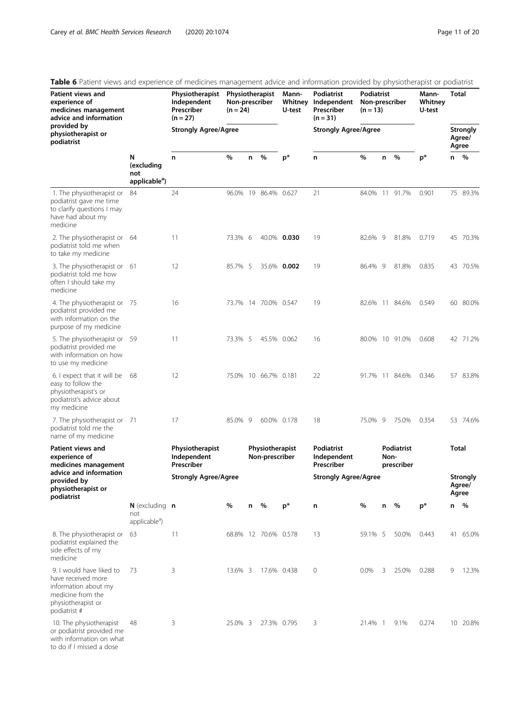<span id="page-10-0"></span>Table 6 Patient views and experience of medicines management advice and information provided by physiotherapist or podiatrist

| Patient views and<br>experience of<br>medicines management<br>advice and information                                              |                                                     | addite nons and chpendities of measures management admediant implimation promated by priyordinary<br>Physiotherapist<br>Independent<br>Prescriber<br>$(n = 27)$ | Physiotherapist<br>Non-prescriber<br>$(n = 24)$ |   |                                   | Mann-<br>Whitney<br>U-test | Podiatrist<br>Independent<br>Prescriber<br>$(n = 31)$ | <b>Podiatrist</b><br>Non-prescriber<br>$(n = 13)$ |      |                          | Mann-<br>Whitney<br>U-test | Total        |                                    |
|-----------------------------------------------------------------------------------------------------------------------------------|-----------------------------------------------------|-----------------------------------------------------------------------------------------------------------------------------------------------------------------|-------------------------------------------------|---|-----------------------------------|----------------------------|-------------------------------------------------------|---------------------------------------------------|------|--------------------------|----------------------------|--------------|------------------------------------|
| provided by<br>physiotherapist or<br>podiatrist                                                                                   |                                                     | <b>Strongly Agree/Agree</b>                                                                                                                                     |                                                 |   |                                   |                            | <b>Strongly Agree/Agree</b>                           |                                                   |      |                          |                            |              | <b>Strongly</b><br>Agree/<br>Agree |
|                                                                                                                                   | N<br>(excluding<br>not<br>applicable <sup>a</sup> ) | n                                                                                                                                                               | $\%$                                            | n | %                                 | $\mathsf{p}^*$             | n                                                     | $\%$                                              | n    | %                        | p*                         | n            | %                                  |
| 1. The physiotherapist or<br>podiatrist gave me time<br>to clarify questions I may<br>have had about my<br>medicine               | 84                                                  | 24                                                                                                                                                              |                                                 |   | 96.0% 19 86.4% 0.627              |                            | 21                                                    |                                                   |      | 84.0% 11 91.7%           | 0.901                      |              | 75 89.3%                           |
| 2. The physiotherapist or 64<br>podiatrist told me when<br>to take my medicine                                                    |                                                     | 11                                                                                                                                                              | 73.3% 6                                         |   |                                   | 40.0% 0.030                | 19                                                    | 82.6% 9                                           |      | 81.8%                    | 0.719                      |              | 45 70.3%                           |
| 3. The physiotherapist or 61<br>podiatrist told me how<br>often I should take my<br>medicine                                      |                                                     | 12                                                                                                                                                              | 85.7% 5                                         |   |                                   | 35.6% 0.002                | 19                                                    | 86.4% 9                                           |      | 81.8%                    | 0.835                      |              | 43 70.5%                           |
| 4. The physiotherapist or 75<br>podiatrist provided me<br>with information on the<br>purpose of my medicine                       |                                                     | 16                                                                                                                                                              |                                                 |   | 73.7% 14 70.0% 0.547              |                            | 19                                                    |                                                   |      | 82.6% 11 84.6%           | 0.549                      |              | 60 80.0%                           |
| 5. The physiotherapist or<br>podiatrist provided me<br>with information on how<br>to use my medicine                              | -59                                                 | 11                                                                                                                                                              | 73.3% 5                                         |   | 45.5% 0.062                       |                            | 16                                                    |                                                   |      | 80.0% 10 91.0%           | 0.608                      |              | 42 71.2%                           |
| 6. I expect that it will be 68<br>easy to follow the<br>physiotherapist's or<br>podiatrist's advice about<br>my medicine          |                                                     | 12                                                                                                                                                              |                                                 |   | 75.0% 10 66.7% 0.181              |                            | 22                                                    |                                                   |      | 91.7% 11 84.6%           | 0.346                      |              | 57 83.8%                           |
| 7. The physiotherapist or 71<br>podiatrist told me the<br>name of my medicine                                                     |                                                     | 17                                                                                                                                                              | 85.0% 9                                         |   | 60.0% 0.178                       |                            | 18                                                    | 75.0% 9                                           |      | 75.0%                    | 0.354                      |              | 53 74.6%                           |
| Patient views and<br>experience of<br>medicines management                                                                        |                                                     | Physiotherapist<br>Independent<br>Prescriber                                                                                                                    |                                                 |   | Physiotherapist<br>Non-prescriber |                            | Podiatrist<br>Independent<br>Prescriber               |                                                   | Non- | Podiatrist<br>prescriber |                            | <b>Total</b> |                                    |
| advice and information<br>provided by<br>physiotherapist or<br>podiatrist                                                         |                                                     | <b>Strongly Agree/Agree</b>                                                                                                                                     |                                                 |   |                                   |                            | <b>Strongly Agree/Agree</b>                           |                                                   |      |                          |                            |              | Strongly<br>Agree/<br>Agree        |
|                                                                                                                                   | N (excluding n<br>not<br>applicable <sup>a</sup> )  |                                                                                                                                                                 | %                                               | n | %                                 | p*                         | n                                                     | $\%$                                              | n    | %                        | $p*$                       | n            | $\%$                               |
| 8. The physiotherapist or<br>podiatrist explained the<br>side effects of my<br>medicine                                           | 63                                                  | 11                                                                                                                                                              |                                                 |   | 68.8% 12 70.6% 0.578              |                            | 13                                                    | 59.1% 5                                           |      | 50.0%                    | 0.443                      |              | 41 65.0%                           |
| 9. I would have liked to<br>have received more<br>information about my<br>medicine from the<br>physiotherapist or<br>podiatrist # | 73                                                  | 3                                                                                                                                                               | 13.6% 3                                         |   | 17.6% 0.438                       |                            | 0                                                     | $0.0\%$                                           | 3    | 25.0%                    | 0.288                      | 9            | 12.3%                              |
| 10. The physiotherapist<br>or podiatrist provided me<br>with information on what<br>to do if I missed a dose                      | 48                                                  | 3                                                                                                                                                               | 25.0% 3                                         |   | 27.3% 0.795                       |                            | 3                                                     | 21.4% 1                                           |      | 9.1%                     | 0.274                      |              | 10 20.8%                           |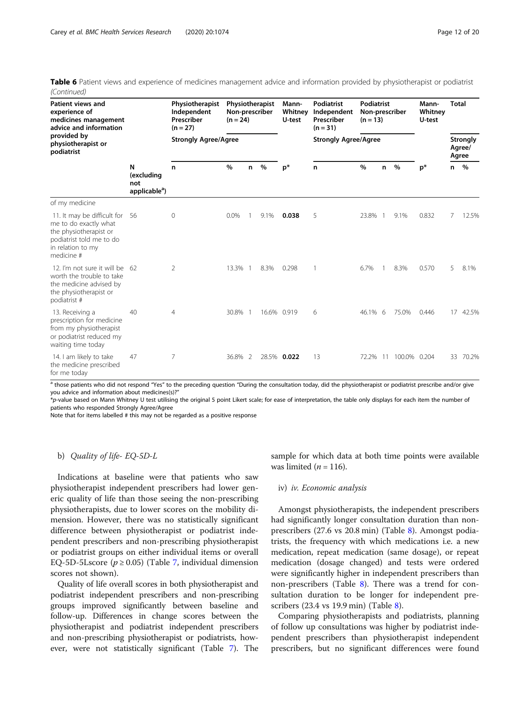Table 6 Patient views and experience of medicines management advice and information provided by physiotherapist or podiatrist (Continued)

| <b>Patient views and</b><br>experience of<br>medicines management<br>advice and information                                                      |                                                     | Physiotherapist<br>Independent<br>Prescriber<br>$(n = 27)$ | Physiotherapist<br>Non-prescriber<br>$(n = 24)$ |    |             | Mann-<br>Whitney<br>U-test | <b>Podiatrist</b><br>Independent<br>Prescriber<br>$(n = 31)$ | <b>Podiatrist</b><br>Non-prescriber<br>$(n = 13)$ |    |              | Mann-<br>Whitney<br>U-test | <b>Total</b> |                                    |
|--------------------------------------------------------------------------------------------------------------------------------------------------|-----------------------------------------------------|------------------------------------------------------------|-------------------------------------------------|----|-------------|----------------------------|--------------------------------------------------------------|---------------------------------------------------|----|--------------|----------------------------|--------------|------------------------------------|
| provided by<br>physiotherapist or<br>podiatrist                                                                                                  |                                                     | <b>Strongly Agree/Agree</b>                                |                                                 |    |             |                            | <b>Strongly Agree/Agree</b>                                  |                                                   |    |              |                            |              | <b>Strongly</b><br>Agree/<br>Agree |
|                                                                                                                                                  | N<br>(excluding<br>not<br>applicable <sup>a</sup> ) | n                                                          | $\%$                                            | n. | $\%$        | $p*$                       | n                                                            | %                                                 | n. | $\%$         | $p*$                       | n            | $\%$                               |
| of my medicine                                                                                                                                   |                                                     |                                                            |                                                 |    |             |                            |                                                              |                                                   |    |              |                            |              |                                    |
| 11. It may be difficult for 56<br>me to do exactly what<br>the physiotherapist or<br>podiatrist told me to do<br>in relation to my<br>medicine # |                                                     | $\mathbf 0$                                                | 0.0%                                            |    | 9.1%        | 0.038                      | 5                                                            | 23.8% 1                                           |    | 9.1%         | 0.832                      |              | 12.5%                              |
| 12. I'm not sure it will be<br>worth the trouble to take<br>the medicine advised by<br>the physiotherapist or<br>podiatrist #                    | -62                                                 | 2                                                          | 13.3% 1                                         |    | 8.3%        | 0.298                      | 1                                                            | 6.7%                                              |    | 8.3%         | 0.570                      | 5            | 8.1%                               |
| 13. Receiving a<br>prescription for medicine<br>from my physiotherapist<br>or podiatrist reduced my<br>waiting time today                        | 40                                                  | 4                                                          | 30.8% 1                                         |    | 16.6% 0.919 |                            | 6                                                            | 46.1% 6                                           |    | 75.0%        | 0.446                      |              | 17 42.5%                           |
| 14. I am likely to take<br>the medicine prescribed<br>for me today                                                                               | 47                                                  | 7                                                          | 36.8% 2                                         |    |             | 28.5% 0.022                | 13                                                           | 72.2% 11                                          |    | 100.0% 0.204 |                            |              | 33 70.2%                           |

<sup>a</sup> those patients who did not respond "Yes" to the preceding question "During the consultation today, did the physiotherapist or podiatrist prescribe and/or give you advice and information about medicines(s)?"

\*p-value based on Mann Whitney U test utilising the original 5 point Likert scale; for ease of interpretation, the table only displays for each item the number of patients who responded Strongly Agree/Agree

Note that for items labelled # this may not be regarded as a positive response

#### b) Quality of life- EQ-5D-L

Indications at baseline were that patients who saw physiotherapist independent prescribers had lower generic quality of life than those seeing the non-prescribing physiotherapists, due to lower scores on the mobility dimension. However, there was no statistically significant difference between physiotherapist or podiatrist independent prescribers and non-prescribing physiotherapist or podiatrist groups on either individual items or overall EQ-5D-5Lscore ( $p \ge 0.05$ ) (Table [7](#page-12-0), individual dimension scores not shown).

Quality of life overall scores in both physiotherapist and podiatrist independent prescribers and non-prescribing groups improved significantly between baseline and follow-up. Differences in change scores between the physiotherapist and podiatrist independent prescribers and non-prescribing physiotherapist or podiatrists, however, were not statistically significant (Table [7\)](#page-12-0). The

sample for which data at both time points were available was limited ( $n = 116$ ).

#### iv) iv. Economic analysis

Amongst physiotherapists, the independent prescribers had significantly longer consultation duration than nonprescribers (27.6 vs 20.8 min) (Table [8](#page-13-0)). Amongst podiatrists, the frequency with which medications i.e. a new medication, repeat medication (same dosage), or repeat medication (dosage changed) and tests were ordered were significantly higher in independent prescribers than non-prescribers (Table [8](#page-13-0)). There was a trend for consultation duration to be longer for independent prescribers (23.4 vs 19.9 min) (Table [8](#page-13-0)).

Comparing physiotherapists and podiatrists, planning of follow up consultations was higher by podiatrist independent prescribers than physiotherapist independent prescribers, but no significant differences were found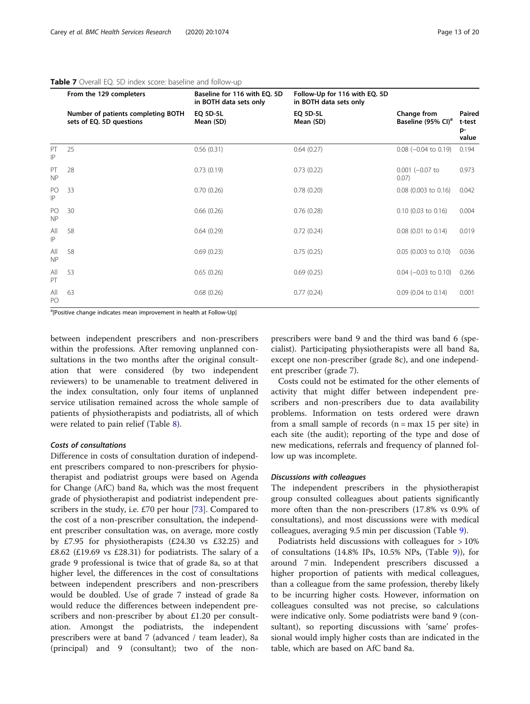|                  | From the 129 completers                                        | Baseline for 116 with EQ. 5D<br>in BOTH data sets only | Follow-Up for 116 with EQ. 5D<br>in BOTH data sets only |                                               |                                 |
|------------------|----------------------------------------------------------------|--------------------------------------------------------|---------------------------------------------------------|-----------------------------------------------|---------------------------------|
|                  | Number of patients completing BOTH<br>sets of EQ. 5D questions | <b>EQ 5D-5L</b><br>Mean (SD)                           | <b>EQ 5D-5L</b><br>Mean (SD)                            | Change from<br>Baseline (95% CI) <sup>a</sup> | Paired<br>t-test<br>p-<br>value |
| PT<br>IP         | 25                                                             | 0.56(0.31)                                             | 0.64(0.27)                                              | $0.08$ (-0.04 to 0.19)                        | 0.194                           |
| PT<br><b>NP</b>  | 28                                                             | 0.73(0.19)                                             | 0.73(0.22)                                              | $0.001$ $(-0.07$ to<br>0.07)                  | 0.973                           |
| PO<br>IP         | 33                                                             | 0.70(0.26)                                             | 0.78(0.20)                                              | $0.08$ (0.003 to 0.16)                        | 0.042                           |
| PO<br><b>NP</b>  | 30                                                             | 0.66(0.26)                                             | 0.76(0.28)                                              | $0.10$ (0.03 to 0.16)                         | 0.004                           |
| All<br>IP        | 58                                                             | 0.64(0.29)                                             | 0.72(0.24)                                              | $0.08$ (0.01 to 0.14)                         | 0.019                           |
| All<br><b>NP</b> | 58                                                             | 0.69(0.23)                                             | 0.75(0.25)                                              | $0.05$ (0.003 to 0.10)                        | 0.036                           |
| All<br>PT        | 53                                                             | 0.65(0.26)                                             | 0.69(0.25)                                              | $0.04$ (-0.03 to 0.10)                        | 0.266                           |
| All<br>PO        | 63                                                             | 0.68(0.26)                                             | 0.77(0.24)                                              | 0.09 (0.04 to 0.14)                           | 0.001                           |

#### <span id="page-12-0"></span>Table 7 Overall EQ. 5D index score: baseline and follow-up

<sup>a</sup>[Positive change indicates mean improvement in health at Follow-Up]

between independent prescribers and non-prescribers within the professions. After removing unplanned consultations in the two months after the original consultation that were considered (by two independent reviewers) to be unamenable to treatment delivered in the index consultation, only four items of unplanned service utilisation remained across the whole sample of patients of physiotherapists and podiatrists, all of which were related to pain relief (Table [8\)](#page-13-0).

#### Costs of consultations

Difference in costs of consultation duration of independent prescribers compared to non-prescribers for physiotherapist and podiatrist groups were based on Agenda for Change (AfC) band 8a, which was the most frequent grade of physiotherapist and podiatrist independent prescribers in the study, i.e. £70 per hour [\[73](#page-19-0)]. Compared to the cost of a non-prescriber consultation, the independent prescriber consultation was, on average, more costly by £7.95 for physiotherapists (£24.30 vs £32.25) and £8.62 (£19.69 vs £28.31) for podiatrists. The salary of a grade 9 professional is twice that of grade 8a, so at that higher level, the differences in the cost of consultations between independent prescribers and non-prescribers would be doubled. Use of grade 7 instead of grade 8a would reduce the differences between independent prescribers and non-prescriber by about £1.20 per consultation. Amongst the podiatrists, the independent prescribers were at band 7 (advanced / team leader), 8a (principal) and 9 (consultant); two of the nonprescribers were band 9 and the third was band 6 (specialist). Participating physiotherapists were all band 8a, except one non-prescriber (grade 8c), and one independent prescriber (grade 7).

Costs could not be estimated for the other elements of activity that might differ between independent prescribers and non-prescribers due to data availability problems. Information on tests ordered were drawn from a small sample of records  $(n = max 15$  per site) in each site (the audit); reporting of the type and dose of new medications, referrals and frequency of planned follow up was incomplete.

#### Discussions with colleagues

The independent prescribers in the physiotherapist group consulted colleagues about patients significantly more often than the non-prescribers (17.8% vs 0.9% of consultations), and most discussions were with medical colleagues, averaging 9.5 min per discussion (Table [9](#page-15-0)).

Podiatrists held discussions with colleagues for > 10% of consultations (14.8% IPs, 10.5% NPs, (Table [9\)](#page-15-0)), for around 7 min. Independent prescribers discussed a higher proportion of patients with medical colleagues, than a colleague from the same profession, thereby likely to be incurring higher costs. However, information on colleagues consulted was not precise, so calculations were indicative only. Some podiatrists were band 9 (consultant), so reporting discussions with 'same' professional would imply higher costs than are indicated in the table, which are based on AfC band 8a.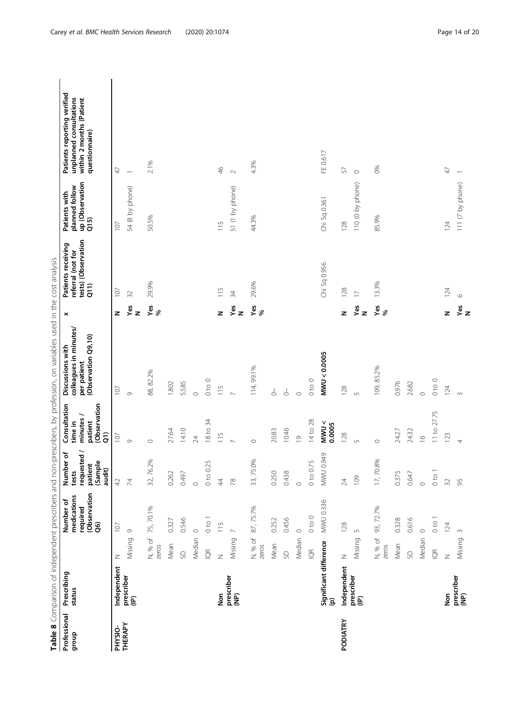<span id="page-13-0"></span>

| Professional | Table 8 Comparison of independent prescribers and<br>Prescribing |                            | Number of                                      | Number of                                          | Consultation                                                     | non-prescribers, by profession, on variables used in the cost analysis<br>Discussions with | ×        | Patients receiving                                         | Patients with                            | Patients reporting verified                                           |
|--------------|------------------------------------------------------------------|----------------------------|------------------------------------------------|----------------------------------------------------|------------------------------------------------------------------|--------------------------------------------------------------------------------------------|----------|------------------------------------------------------------|------------------------------------------|-----------------------------------------------------------------------|
| group        | status                                                           |                            | (Observation<br>medications<br>required<br>Q6) | requested<br>(Sample<br>patient<br>audit)<br>tests | (Observation<br>minutes /<br>time in<br>patient<br>$\widehat{5}$ | colleagues in minutes/<br>(Observation Q9,10)<br>per patient                               |          | tests) (Observation<br>referral (not for<br>$\overline{c}$ | up (Observation<br>planned follow<br>Q15 | unplanned consultations<br>within 2 months (Patient<br>questionnaire) |
| PHYSIO-      | Independent                                                      | $\geq$                     | 107                                            | $\overline{42}$                                    | 107                                                              | 107                                                                                        | z        | 107                                                        | 107                                      | 47                                                                    |
| THERAPY      | prescriber<br>(IP)                                               | Missing                    | $\circ$                                        | $\overline{7}$                                     | $\circ$                                                          | $\circ$                                                                                    | Yes<br>z | 32                                                         | 54 (8 by phone)                          |                                                                       |
|              |                                                                  | N, % of<br>zeros           | 75, 70.1%                                      | 76.2%<br>32,                                       | $\circ$                                                          | 88, 82.2%                                                                                  | Yes<br>ৡ | 29.9%                                                      | 50.5%                                    | 2.1%                                                                  |
|              |                                                                  | Mean                       | 0.327                                          | 0.262                                              | 27.64                                                            | 1.802                                                                                      |          |                                                            |                                          |                                                                       |
|              |                                                                  | SD                         | 0.546                                          | 0.497                                              | 14.10                                                            | 5.585                                                                                      |          |                                                            |                                          |                                                                       |
|              |                                                                  | Median                     | $\circ$                                        | $\circ$                                            | 24                                                               | $\circ$                                                                                    |          |                                                            |                                          |                                                                       |
|              |                                                                  | $\widetilde{\mathbf{Q}}$   | $0$ to $1$                                     | 0 to 0.25                                          | 18 to 34                                                         | $0$ to $0$                                                                                 |          |                                                            |                                          |                                                                       |
|              | Non                                                              | $\overline{z}$             | 115                                            | $\overline{4}$                                     | 115                                                              | 115                                                                                        | z        | 115                                                        | 115                                      | $\frac{4}{6}$                                                         |
|              | prescriber<br>(NP)                                               | Missing                    | $\overline{ }$                                 | $\approx$                                          | $\triangleright$                                                 | $\triangleright$                                                                           | Yes<br>z | 34                                                         | 51 (1 by phone)                          | $\sim$                                                                |
|              |                                                                  | N, % of<br>zeros           | 87,75.7%                                       | 75.0%<br>33,                                       | $\circ$                                                          | 114, 99.1%                                                                                 | Yes<br>ৡ | 29.6%                                                      | 44.3%                                    | 4.3%                                                                  |
|              |                                                                  | Mean                       | 0.252                                          | 0.250                                              | 20.83                                                            | $\stackrel{?}{\circ}$                                                                      |          |                                                            |                                          |                                                                       |
|              |                                                                  | SD                         | 0.456                                          | 0.438                                              | 10.46                                                            | $\stackrel{\text{\tiny 1}}{\circ}$                                                         |          |                                                            |                                          |                                                                       |
|              |                                                                  | Median                     | $\circ$                                        | $\circ$                                            | $\overline{0}$                                                   | $\circ$                                                                                    |          |                                                            |                                          |                                                                       |
|              |                                                                  | $\widetilde{\mathcal{Q}}$  | $0$ to $0$                                     | 0 to 0.75                                          | 14 to 28                                                         | $0\,$ to $\,0$                                                                             |          |                                                            |                                          |                                                                       |
|              | Significant difference<br>$\widehat{\mathbf{e}}$                 |                            | MWU 0.336                                      | <b>KNVU 0.949</b>                                  | MWD <<br>0.0005                                                  | MWU < 0.0005                                                                               |          | Chi Sq 0.956                                               | Chi Sq 0.361                             | FE 0.617                                                              |
| PODIATRY     | Independent                                                      | Z                          | 128                                            | $\overline{24}$                                    | 128                                                              | 128                                                                                        | z        | 128                                                        | 128                                      | 57                                                                    |
|              | prescriber<br>(IP)                                               | Missing                    | $\sqrt{2}$                                     | 109                                                | 5                                                                | S                                                                                          | Yes<br>z | $\overline{C}$                                             | $110(0$ by phone)                        | $\circ$                                                               |
|              |                                                                  | N, % of<br>zeros           | 93, 72.7%                                      | 70.8%<br>$\overline{\mathbb{D}}$                   | $\circ$                                                          | 109, 85.2%                                                                                 | Yes<br>% | 13.3%                                                      | 85.9%                                    | 0%                                                                    |
|              |                                                                  | Mean                       | 0.328                                          | 0.375                                              | 24.27                                                            | 0.976                                                                                      |          |                                                            |                                          |                                                                       |
|              |                                                                  | SD                         | 0.616                                          | 0.647                                              | 24.32                                                            | 2.682                                                                                      |          |                                                            |                                          |                                                                       |
|              |                                                                  | Median                     | $\circ$                                        | $\circ$                                            | $\frac{6}{1}$                                                    | $\circ$                                                                                    |          |                                                            |                                          |                                                                       |
|              |                                                                  | $\underline{\mathfrak{S}}$ | 0 to 1                                         | 0 to 1                                             | 11 to 27.75                                                      | $0$ to $0$                                                                                 |          |                                                            |                                          |                                                                       |
|              | no<br>S                                                          | $\overline{z}$             | 124                                            | $\Im$                                              | 123                                                              | 124                                                                                        | z        | 124                                                        | 124                                      | $47$                                                                  |
|              | prescriber<br>(NP)                                               | Missing                    | $\sim$                                         | 95                                                 | 4                                                                | $\infty$                                                                                   | yes      | $\circ$                                                    | 111 (7 by phone)                         |                                                                       |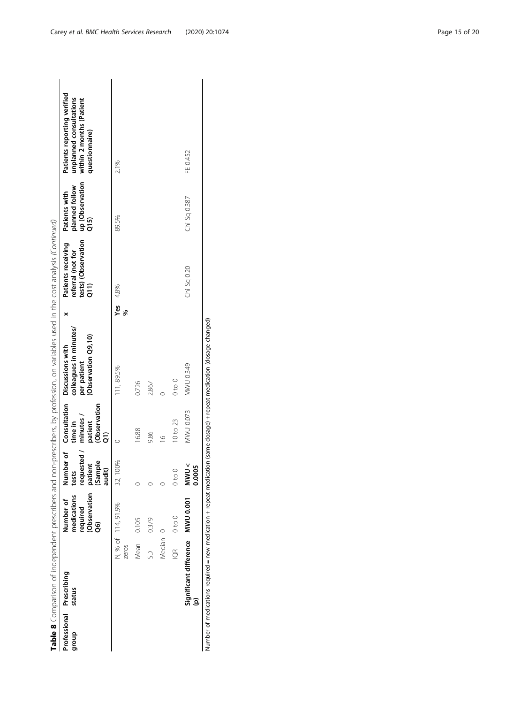|                                   |                                              |               | Table 8 Comparison of independent prescribers and                |                                                                |                                                     | non-prescribers, by profession, on variables used in the cost analysis (Continued)                      |                       |                                                                                 |                                                       |                                                                                                      |
|-----------------------------------|----------------------------------------------|---------------|------------------------------------------------------------------|----------------------------------------------------------------|-----------------------------------------------------|---------------------------------------------------------------------------------------------------------|-----------------------|---------------------------------------------------------------------------------|-------------------------------------------------------|------------------------------------------------------------------------------------------------------|
| Professional Prescribing<br>dhoub | status                                       |               | <b>Observation</b><br>Number of<br>medications<br>required<br>මි | requested / minutes /<br>(Sample<br>audit)<br>patient<br>tests | (Observation<br>time in<br>patient<br>$\widehat{5}$ | colleagues in minutes/<br>(Observation Q9,10)<br>Number of Consultation Discussions with<br>per patient |                       | tests) (Observation<br>Patients receiving<br>referral (not for<br>$\frac{1}{2}$ | ollow ہے۔<br>up (Observation<br>Q15)<br>Patients with | Patients reporting verified<br>unplanned consultations<br>within 2 months (Patient<br>questionnaire) |
|                                   |                                              | zeros         | N, % of 114, 91.9%                                               | 32, 100%                                                       |                                                     | 111,89.5%                                                                                               | <b>Yes</b> 4.8%<br>ಹಿ |                                                                                 | 89.5%                                                 | 2.1%                                                                                                 |
|                                   |                                              | Mean          | 0.105                                                            |                                                                | 16.88                                               | 0.726                                                                                                   |                       |                                                                                 |                                                       |                                                                                                      |
|                                   |                                              | SD            | 0.379                                                            |                                                                | 9.86                                                | 2.867                                                                                                   |                       |                                                                                 |                                                       |                                                                                                      |
|                                   |                                              | Median 0      |                                                                  |                                                                | $\approx$                                           |                                                                                                         |                       |                                                                                 |                                                       |                                                                                                      |
|                                   |                                              | $\frac{1}{2}$ | $0$ to $0$                                                       | $0$ to $0$                                                     | 10 to 23                                            | $0 \text{ to } 0$                                                                                       |                       |                                                                                 |                                                       |                                                                                                      |
|                                   | Significant difference MWU 0.001<br><u>a</u> |               |                                                                  | MNU <<br>0.0005                                                | <b>MWU 0.073</b>                                    | MWU 0.349                                                                                               |                       | Chi Sq 0.20                                                                     | Chi Sq 0.387                                          | FE 0.452                                                                                             |

Number of medications required = new medication + repeat medication (same dosage) + repeat medication (dosage changed) Number of medications required = new medication + repeat medication (same dosage) + repeat medication (dosage changed)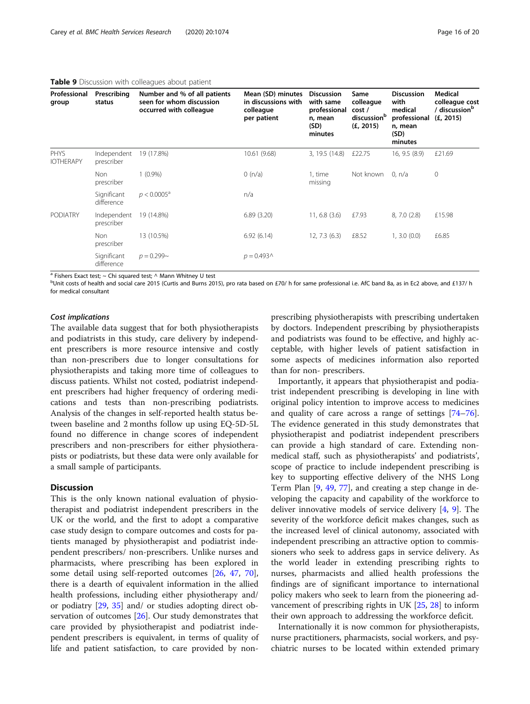#### <span id="page-15-0"></span>Table 9 Discussion with colleagues about patient

| Professional<br>group           | Prescribing<br>status     | Number and % of all patients<br>seen for whom discussion<br>occurred with colleague | Mean (SD) minutes<br>in discussions with<br>colleague<br>per patient | <b>Discussion</b><br>with same<br>professional<br>n, mean<br>(SD)<br>minutes | Same<br>colleague<br>cost /<br>discussionb<br>(E, 2015) | <b>Discussion</b><br>with<br>medical<br>professional<br>n, mean<br>(SD)<br>minutes | Medical<br>colleague cost<br>/ discussion <sup>b</sup><br>(E, 2015) |
|---------------------------------|---------------------------|-------------------------------------------------------------------------------------|----------------------------------------------------------------------|------------------------------------------------------------------------------|---------------------------------------------------------|------------------------------------------------------------------------------------|---------------------------------------------------------------------|
| <b>PHYS</b><br><b>IOTHERAPY</b> | Independent<br>prescriber | 19 (17.8%)                                                                          | 10.61 (9.68)                                                         | 3, 19.5 (14.8)                                                               | £22.75                                                  | $16, 9.5$ $(8.9)$                                                                  | £21.69                                                              |
|                                 | <b>Non</b><br>prescriber  | $1(0.9\%)$                                                                          | 0(n/a)                                                               | 1, time<br>missing                                                           | Not known                                               | 0, n/a                                                                             | $\mathbf{0}$                                                        |
|                                 | Significant<br>difference | $p < 0.0005^a$                                                                      | n/a                                                                  |                                                                              |                                                         |                                                                                    |                                                                     |
| <b>PODIATRY</b>                 | Independent<br>prescriber | 19 (14.8%)                                                                          | 6.89(3.20)                                                           | $11, 6.8$ $(3.6)$                                                            | £7.93                                                   | 8, 7.0 (2.8)                                                                       | £15.98                                                              |
|                                 | <b>Non</b><br>prescriber  | 13 (10.5%)                                                                          | 6.92(6.14)                                                           | 12, 7.3(6.3)                                                                 | £8.52                                                   | 1, 3.0 (0.0)                                                                       | £6.85                                                               |
|                                 | Significant<br>difference | $p = 0.299 -$                                                                       | $p = 0.493 \wedge$                                                   |                                                                              |                                                         |                                                                                    |                                                                     |

 $a$  Fishers Exact test;  $\sim$  Chi squared test;  $\wedge$  Mann Whitney U test

bUnit costs of health and social care 2015 (Curtis and Burns 2015), pro rata based on £70/ h for same professional i.e. AfC band 8a, as in Ec2 above, and £137/ h for medical consultant

#### Cost implications

The available data suggest that for both physiotherapists and podiatrists in this study, care delivery by independent prescribers is more resource intensive and costly than non-prescribers due to longer consultations for physiotherapists and taking more time of colleagues to discuss patients. Whilst not costed, podiatrist independent prescribers had higher frequency of ordering medications and tests than non-prescribing podiatrists. Analysis of the changes in self-reported health status between baseline and 2 months follow up using EQ-5D-5L found no difference in change scores of independent prescribers and non-prescribers for either physiotherapists or podiatrists, but these data were only available for a small sample of participants.

#### **Discussion**

This is the only known national evaluation of physiotherapist and podiatrist independent prescribers in the UK or the world, and the first to adopt a comparative case study design to compare outcomes and costs for patients managed by physiotherapist and podiatrist independent prescribers/ non-prescribers. Unlike nurses and pharmacists, where prescribing has been explored in some detail using self-reported outcomes [[26](#page-18-0), [47](#page-18-0), [70](#page-19-0)], there is a dearth of equivalent information in the allied health professions, including either physiotherapy and/ or podiatry [\[29,](#page-18-0) [35\]](#page-18-0) and/ or studies adopting direct observation of outcomes [[26](#page-18-0)]. Our study demonstrates that care provided by physiotherapist and podiatrist independent prescribers is equivalent, in terms of quality of life and patient satisfaction, to care provided by nonprescribing physiotherapists with prescribing undertaken by doctors. Independent prescribing by physiotherapists and podiatrists was found to be effective, and highly acceptable, with higher levels of patient satisfaction in some aspects of medicines information also reported than for non- prescribers.

Importantly, it appears that physiotherapist and podiatrist independent prescribing is developing in line with original policy intention to improve access to medicines and quality of care across a range of settings [[74](#page-19-0)–[76](#page-19-0)]. The evidence generated in this study demonstrates that physiotherapist and podiatrist independent prescribers can provide a high standard of care. Extending nonmedical staff, such as physiotherapists' and podiatrists', scope of practice to include independent prescribing is key to supporting effective delivery of the NHS Long Term Plan [\[9](#page-18-0), [49,](#page-18-0) [77](#page-19-0)], and creating a step change in developing the capacity and capability of the workforce to deliver innovative models of service delivery [\[4](#page-17-0), [9](#page-18-0)]. The severity of the workforce deficit makes changes, such as the increased level of clinical autonomy, associated with independent prescribing an attractive option to commissioners who seek to address gaps in service delivery. As the world leader in extending prescribing rights to nurses, pharmacists and allied health professions the findings are of significant importance to international policy makers who seek to learn from the pioneering advancement of prescribing rights in UK [[25](#page-18-0), [28](#page-18-0)] to inform their own approach to addressing the workforce deficit.

Internationally it is now common for physiotherapists, nurse practitioners, pharmacists, social workers, and psychiatric nurses to be located within extended primary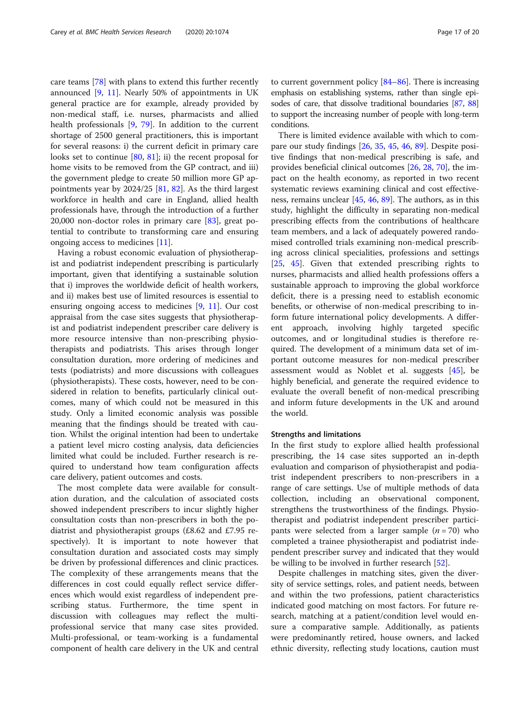care teams [[78](#page-19-0)] with plans to extend this further recently announced [\[9](#page-18-0), [11](#page-18-0)]. Nearly 50% of appointments in UK general practice are for example, already provided by non-medical staff, i.e. nurses, pharmacists and allied health professionals [[9,](#page-18-0) [79](#page-19-0)]. In addition to the current shortage of 2500 general practitioners, this is important for several reasons: i) the current deficit in primary care looks set to continue [\[80,](#page-19-0) [81](#page-19-0)]; ii) the recent proposal for home visits to be removed from the GP contract, and iii) the government pledge to create 50 million more GP appointments year by 2024/25 [[81,](#page-19-0) [82\]](#page-19-0). As the third largest workforce in health and care in England, allied health professionals have, through the introduction of a further 20,000 non-doctor roles in primary care [\[83\]](#page-19-0), great potential to contribute to transforming care and ensuring ongoing access to medicines [[11\]](#page-18-0).

Having a robust economic evaluation of physiotherapist and podiatrist independent prescribing is particularly important, given that identifying a sustainable solution that i) improves the worldwide deficit of health workers, and ii) makes best use of limited resources is essential to ensuring ongoing access to medicines [[9,](#page-18-0) [11\]](#page-18-0). Our cost appraisal from the case sites suggests that physiotherapist and podiatrist independent prescriber care delivery is more resource intensive than non-prescribing physiotherapists and podiatrists. This arises through longer consultation duration, more ordering of medicines and tests (podiatrists) and more discussions with colleagues (physiotherapists). These costs, however, need to be considered in relation to benefits, particularly clinical outcomes, many of which could not be measured in this study. Only a limited economic analysis was possible meaning that the findings should be treated with caution. Whilst the original intention had been to undertake a patient level micro costing analysis, data deficiencies limited what could be included. Further research is required to understand how team configuration affects care delivery, patient outcomes and costs.

The most complete data were available for consultation duration, and the calculation of associated costs showed independent prescribers to incur slightly higher consultation costs than non-prescribers in both the podiatrist and physiotherapist groups (£8.62 and £7.95 respectively). It is important to note however that consultation duration and associated costs may simply be driven by professional differences and clinic practices. The complexity of these arrangements means that the differences in cost could equally reflect service differences which would exist regardless of independent prescribing status. Furthermore, the time spent in discussion with colleagues may reflect the multiprofessional service that many case sites provided. Multi-professional, or team-working is a fundamental component of health care delivery in the UK and central to current government policy [[84](#page-19-0)–[86](#page-19-0)]. There is increasing emphasis on establishing systems, rather than single episodes of care, that dissolve traditional boundaries [[87](#page-19-0), [88](#page-19-0)] to support the increasing number of people with long-term conditions.

There is limited evidence available with which to compare our study findings [\[26](#page-18-0), [35](#page-18-0), [45](#page-18-0), [46](#page-18-0), [89](#page-19-0)]. Despite positive findings that non-medical prescribing is safe, and provides beneficial clinical outcomes [[26,](#page-18-0) [28](#page-18-0), [70](#page-19-0)], the impact on the health economy, as reported in two recent systematic reviews examining clinical and cost effectiveness, remains unclear [[45,](#page-18-0) [46,](#page-18-0) [89](#page-19-0)]. The authors, as in this study, highlight the difficulty in separating non-medical prescribing effects from the contributions of healthcare team members, and a lack of adequately powered randomised controlled trials examining non-medical prescribing across clinical specialities, professions and settings [[25,](#page-18-0) [45\]](#page-18-0). Given that extended prescribing rights to nurses, pharmacists and allied health professions offers a sustainable approach to improving the global workforce deficit, there is a pressing need to establish economic benefits, or otherwise of non-medical prescribing to inform future international policy developments. A different approach, involving highly targeted specific outcomes, and or longitudinal studies is therefore required. The development of a minimum data set of important outcome measures for non-medical prescriber assessment would as Noblet et al. suggests [[45\]](#page-18-0), be highly beneficial, and generate the required evidence to evaluate the overall benefit of non-medical prescribing and inform future developments in the UK and around the world.

#### Strengths and limitations

In the first study to explore allied health professional prescribing, the 14 case sites supported an in-depth evaluation and comparison of physiotherapist and podiatrist independent prescribers to non-prescribers in a range of care settings. Use of multiple methods of data collection, including an observational component, strengthens the trustworthiness of the findings. Physiotherapist and podiatrist independent prescriber participants were selected from a larger sample  $(n = 70)$  who completed a trainee physiotherapist and podiatrist independent prescriber survey and indicated that they would be willing to be involved in further research [[52](#page-19-0)].

Despite challenges in matching sites, given the diversity of service settings, roles, and patient needs, between and within the two professions, patient characteristics indicated good matching on most factors. For future research, matching at a patient/condition level would ensure a comparative sample. Additionally, as patients were predominantly retired, house owners, and lacked ethnic diversity, reflecting study locations, caution must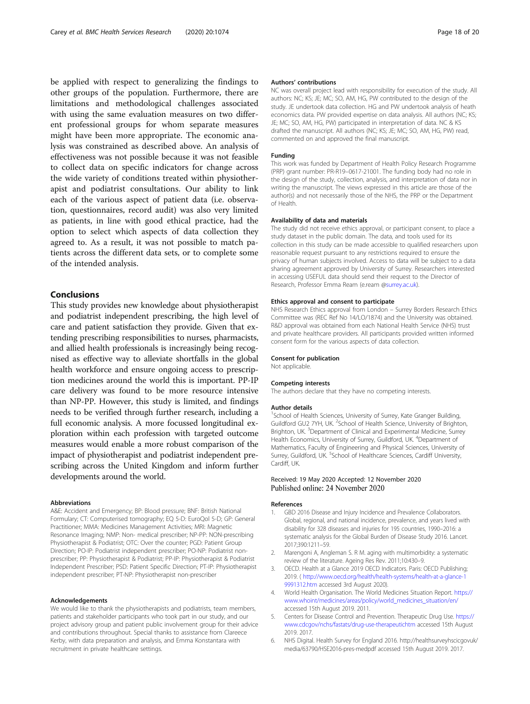<span id="page-17-0"></span>be applied with respect to generalizing the findings to other groups of the population. Furthermore, there are limitations and methodological challenges associated with using the same evaluation measures on two different professional groups for whom separate measures might have been more appropriate. The economic analysis was constrained as described above. An analysis of effectiveness was not possible because it was not feasible to collect data on specific indicators for change across the wide variety of conditions treated within physiotherapist and podiatrist consultations. Our ability to link each of the various aspect of patient data (i.e. observation, questionnaires, record audit) was also very limited as patients, in line with good ethical practice, had the option to select which aspects of data collection they agreed to. As a result, it was not possible to match patients across the different data sets, or to complete some of the intended analysis.

#### Conclusions

This study provides new knowledge about physiotherapist and podiatrist independent prescribing, the high level of care and patient satisfaction they provide. Given that extending prescribing responsibilities to nurses, pharmacists, and allied health professionals is increasingly being recognised as effective way to alleviate shortfalls in the global health workforce and ensure ongoing access to prescription medicines around the world this is important. PP-IP care delivery was found to be more resource intensive than NP-PP. However, this study is limited, and findings needs to be verified through further research, including a full economic analysis. A more focussed longitudinal exploration within each profession with targeted outcome measures would enable a more robust comparison of the impact of physiotherapist and podiatrist independent prescribing across the United Kingdom and inform further developments around the world.

#### Abbreviations

A&E: Accident and Emergency; BP: Blood pressure; BNF: British National Formulary; CT: Computerised tomography; EQ 5-D: EuroQol 5-D; GP: General Practitioner; MMA: Medicines Management Activities; MRI: Magnetic Resonance Imaging; NMP: Non- medical prescriber; NP-PP: NON-prescribing Physiotherapist & Podiatrist; OTC: Over the counter; PGD: Patient Group Direction; PO-IP: Podiatrist independent prescriber; PO-NP: Podiatrist nonprescriber; PP: Physiotherapist & Podiatrist; PP-IP: Physiotherapist & Podiatrist Independent Prescriber; PSD: Patient Specific Direction; PT-IP: Physiotherapist independent prescriber; PT-NP: Physiotherapist non-prescriber

#### Acknowledgements

We would like to thank the physiotherapists and podiatrists, team members, patients and stakeholder participants who took part in our study, and our project advisory group and patient public involvement group for their advice and contributions throughout. Special thanks to assistance from Clareece Kerby, with data preparation and analysis, and Emma Konstantara with recruitment in private healthcare settings.

#### Authors' contributions

NC was overall project lead with responsibility for execution of the study. All authors: NC; KS; JE; MC; SO, AM, HG, PW contributed to the design of the study. JE undertook data collection. HG and PW undertook analysis of heath economics data. PW provided expertise on data analysis. All authors (NC; KS; JE; MC; SO, AM, HG, PW) participated in interpretation of data. NC & KS drafted the manuscript. All authors (NC; KS; JE; MC; SO, AM, HG, PW) read, commented on and approved the final manuscript.

#### Funding

This work was funded by Department of Health Policy Research Programme (PRP) grant number: PR-R19–0617-21001. The funding body had no role in the design of the study, collection, analysis, and interpretation of data nor in writing the manuscript. The views expressed in this article are those of the author(s) and not necessarily those of the NHS, the PRP or the Department of Health.

#### Availability of data and materials

The study did not receive ethics approval, or participant consent, to place a study dataset in the public domain. The data, and tools used for its collection in this study can be made accessible to qualified researchers upon reasonable request pursuant to any restrictions required to ensure the privacy of human subjects involved. Access to data will be subject to a data sharing agreement approved by University of Surrey. Researchers interested in accessing USEFUL data should send their request to the Director of Research, Professor Emma Ream (e.ream [@surrey.ac.uk](http://surrey.ac.uk)).

#### Ethics approval and consent to participate

NHS Research Ethics approval from London – Surrey Borders Research Ethics Committee was (REC Ref No 14/LO/1874) and the University was obtained. R&D approval was obtained from each National Health Service (NHS) trust and private healthcare providers. All participants provided written informed consent form for the various aspects of data collection.

#### Consent for publication

Not applicable.

#### Competing interests

The authors declare that they have no competing interests.

#### Author details

<sup>1</sup>School of Health Sciences, University of Surrey, Kate Granger Building, Guildford GU2 7YH, UK. <sup>2</sup>School of Health Science, University of Brighton, Brighton, UK. <sup>3</sup>Department of Clinical and Experimental Medicine, Surrey Health Economics, University of Surrey, Guildford, UK. <sup>4</sup>Department of Mathematics, Faculty of Engineering and Physical Sciences, University of Surrey, Guildford, UK. <sup>5</sup>School of Healthcare Sciences, Cardiff University Cardiff, UK.

#### Received: 19 May 2020 Accepted: 12 November 2020 Published online: 24 November 2020

#### References

- 1. GBD 2016 Disease and Injury Incidence and Prevalence Collaborators. Global, regional, and national incidence, prevalence, and years lived with disability for 328 diseases and injuries for 195 countries, 1990–2016: a systematic analysis for the Global Burden of Disease Study 2016. Lancet. 2017;390:1211–59.
- 2. Marengoni A, Angleman S. R M. aging with multimorbidity: a systematic review of the literature. Ageing Res Rev. 2011;10:430–9.
- 3. OECD. Health at a Glance 2019 OECD Indicators. Paris: OECD Publishing; 2019. ( [http://www.oecd.org/health/health-systems/health-at-a-glance-1](http://www.oecd.org/health/health-systems/health-at-a-glance-19991312.htm) [9991312.htm](http://www.oecd.org/health/health-systems/health-at-a-glance-19991312.htm) accessed 3rd August 2020).
- 4. World Health Organisation. The World Medicines Situation Report. [https://](https://www.whoint/medicines/areas/policy/world_medicines_situation/en/) [www.whoint/medicines/areas/policy/world\\_medicines\\_situation/en/](https://www.whoint/medicines/areas/policy/world_medicines_situation/en/) accessed 15th August 2019. 2011.
- 5. Centers for Disease Control and Prevention. Therapeutic Drug Use. [https://](https://www.cdcgov/nchs/fastats/drug-use-therapeutichtm) [www.cdcgov/nchs/fastats/drug-use-therapeutichtm](https://www.cdcgov/nchs/fastats/drug-use-therapeutichtm) accessed 15th August 2019. 2017.
- 6. NHS Digital. Health Survey for England 2016. http://healthsurveyhscicgovuk/ media/63790/HSE2016-pres-medpdf accessed 15th August 2019. 2017.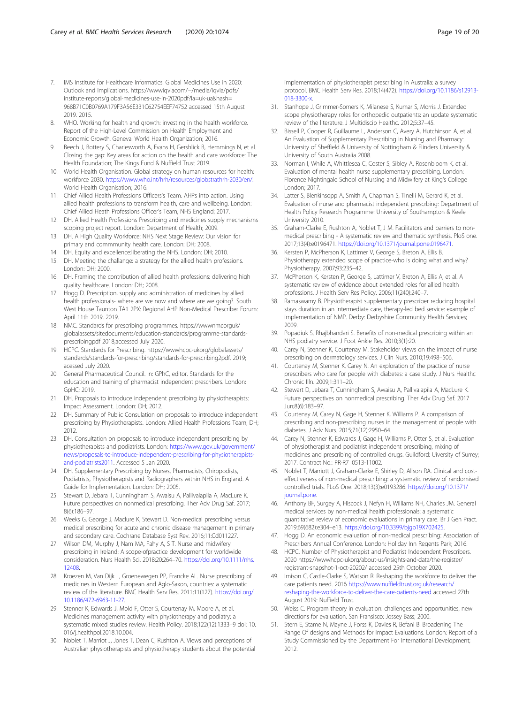- <span id="page-18-0"></span>7. IMS Institute for Healthcare Informatics. Global Medicines Use in 2020: Outlook and Implications. https://wwwiqviacom/−/media/iqvia/pdfs/ institute-reports/global-medicines-use-in-2020pdf?la=uk-ua&hash= 968B71C0B0769A179F3A56E331C62754EEF74752 accessed 15th August 2019. 2015.
- 8. WHO. Working for health and growth: investing in the health workforce. Report of the High-Level Commission on Health Employment and Economic Growth. Geneva: World Health Organization; 2016.
- Beech J, Bottery S, Charlesworth A, Evans H, Gershlick B, Hemmings N, et al. Closing the gap: Key areas for action on the health and care workforce: The Health Foundation; The Kings Fund & Nuffield Trust 2019.
- 10. World Health Organisation. Global strategy on human resources for health: workforce 2030. <https://www.who.int/hrh/resources/globstrathrh-2030/en/:> World Health Organisation; 2016.
- 11. Chief Allied Health Professions Officers's Team. AHPs into action. Using allied health professions to transform health, care and wellbeing. London: Chief Allied Heath Professions Officer's Team, NHS England; 2017.
- 12. DH. Allied Health Professions Prescribing and medicines supply mechanisms scoping project report. London: Department of Health; 2009.
- 13. DH. A High Quality Workforce: NHS Next Stage Review: Our vision for primary and commmunity health care. London: DH; 2008.
- 14. DH. Equity and excellence:liberating the NHS. London: DH; 2010.
- 15. DH. Meeting the challange: a strategy for the allied health professions. London: DH; 2000.
- 16. DH. Framing the contribution of allied health professions: delivering high quality healthcare. London: DH; 2008.
- 17. Hogg D. Prescription, supply and administration of medicines by allied health professionals- where are we now and where are we going?. South West House Taunton TA1 2PX: Regional AHP Non-Medical Prescriber Forum: April 11th 2019. 2019.
- 18. NMC. Standards for prescribing programmes. https://wwwnmcorguk/ globalassets/sitedocuments/education-standards/programme-standardsprescribingpdf 2018;accessed July 2020.
- 19. HCPC. Standards for Prescribing. https://wwwhcpc-ukorg/globalassets/ standards/standards-for-prescribing/standards-for-prescribing2pdf. 2019; acessed July 2020.
- 20. General Pharmaceutical Council. In: GPhC, editor. Standards for the education and training of pharmacist independent prescribers. London: GpHC; 2019.
- 21. DH. Proposals to introduce independent prescribing by physiotherapists: Impact Assessment. London: DH; 2012.
- 22. DH. Summary of Public Consulation on proposals to introduce independent prescribing by Physiotherapists. London: Allied Health Professions Team, DH; 2012.
- 23. DH. Consultation on proposals to introduce independent prescribing by physiotherapists and podiatrists. London: [https://www.gov.uk/government/](https://www.gov.uk/government/news/proposals-to-introduce-independent-prescribing-for-physiotherapists-and-podiatrists2011) [news/proposals-to-introduce-independent-prescribing-for-physiotherapists](https://www.gov.uk/government/news/proposals-to-introduce-independent-prescribing-for-physiotherapists-and-podiatrists2011)[and-podiatrists2011.](https://www.gov.uk/government/news/proposals-to-introduce-independent-prescribing-for-physiotherapists-and-podiatrists2011) Accessed 5 Jan 2020.
- 24. DH. Supplementary Prescribing by Nurses, Pharmacists, Chiropodists, Podiatrists, Physiotherapists and Radiographers within NHS in England. A Guide for Implementation. London: DH; 2005.
- 25. Stewart D, Jebara T, Cunningham S, Awaisu A, Pallivalapila A, MacLure K. Future perspectives on nonmedical prescribing. Ther Adv Drug Saf. 2017; 8(6):186–97.
- 26. Weeks G, George J, Maclure K, Stewart D. Non-medical prescribing versus medical prescribing for acute and chronic disease management in primary and secondary care. Cochrane Database Syst Rev. 2016;11:Cd011227.
- 27. Wilson DM, Murphy J, Nam MA, Fahy A, S T. Nurse and midwifery prescribing in Ireland: A scope-ofpractice development for worldwide consideration. Nurs Health Sci. 2018;20:264–70. [https://doi.org/10.1111/nhs.](https://doi.org/10.1111/nhs.12408) [12408.](https://doi.org/10.1111/nhs.12408)
- 28. Kroezen M, Van Dijk L, Groenewegen PP, Francke AL. Nurse prescribing of medicines in Western European and Aglo-Saxon, countries: a systematic review of the literature. BMC Health Serv Res. 2011;11(127). [https://doi.org/](https://doi.org/10.1186/472-6963-11-27) [10.1186/472-6963-11-27.](https://doi.org/10.1186/472-6963-11-27)
- 29. Stenner K, Edwards J, Mold F, Otter S, Courtenay M, Moore A, et al. Medicines management activity with physiotherapy and podiatry: a systematic mixed studies review. Health Policy. 2018;122(12):1333–9 doi: 10. 016/j.healthpol.2018.10.004.
- 30. Noblet T, Marriot J, Jones T, Dean C, Rushton A. Views and perceptions of Australian physiotherapists and physiotherapy students about the potential

implementation of physiotherapist prescribing in Australia: a survey protocol. BMC Health Serv Res. 2018;14(472). [https://doi.org/10.1186/s12913-](https://doi.org/10.1186/s12913-018-3300-x) [018-3300-x.](https://doi.org/10.1186/s12913-018-3300-x)

- 31. Stanhope J, Grimmer-Somers K, Milanese S, Kumar S, Morris J. Extended scope physiotherapy roles for orthopedic outpatients: an update systematic review of the literature. J Multidiscip Healthc. 2012;5:37–45.
- Bissell P, Cooper R, Guillaume L, Anderson C, Avery A, Hutchinson A, et al. An Evaluation of Supplementary Prescribing in Nursing and Pharmacy: University of Sheffield & University of Nottingham & Flinders University & University of South Australia 2008.
- 33. Norman I, While A, Whittlesea C, Coster S, Sibley A, Rosenbloom K, et al. Evaluation of mental health nurse supplementary prescribing. London: Florence Nightingale School of Nursing and Midwifery at King's College London; 2017.
- 34. Latter S, Blenkinsopp A, Smith A, Chapman S, TInelli M, Gerard K, et al. Evaluation of nurse and pharmacist independent prescrbing: Department of Health Policy Research Programme: University of Southampton & Keele University 2010.
- 35. Graham-Clarke E, Rushton A, Noblet T, J M. Facilitators and barriers to nonmedical prescribing - A systematic review and thematic synthesis. PloS one. 2017;13(4):e0196471. <https://doi.org/10.1371/journal.pone.0196471>.
- Kersten P, McPherson K, Lattimer V, George S, Breton A, Ellis B. Physiotherapy extended scope of practice-who is doing what and why? Physiotherapy. 2007;93:235–42.
- 37. McPherson K, Kersten P, George S, Lattimer V, Breton A, Ellis A, et al. A systematic review of evidence about extended roles for allied health professions. J Health Serv Res Policy. 2006;11(240):240–7.
- 38. Ramaswamy B. Physiotherapist supplementary prescriber reducing hospital stays duration in an intermediate care, therapy-led bed service: example of implementation of NMP. Derby: Derbyshire Community Health Services; 2009.
- 39. Popadiuk S, Rhajbhandari S. Benefits of non-medical prescribing within an NHS podiatry service. J Foot Ankle Res. 2010;3(1):20.
- 40. Carey N, Stenner K, Courtenay M. Stakeholder views on the impact of nurse prescribing on dermatology services. J Clin Nurs. 2010;19:498–506.
- 41. Courtenay M, Stenner K, Carey N. An exploration of the practice of nurse prescribers who care for people with diabetes: a case study. J Nurs Healthc Chronic Illn. 2009;1:311–20.
- 42. Stewart D, Jebara T, Cunningham S, Awaisu A, Pallivalapila A, MacLure K. Future perspectives on nonmedical prescribing. Ther Adv Drug Saf. 2017 Jun;8(6):183–97.
- 43. Courtenay M, Carey N, Gage H, Stenner K, Williams P. A comparison of prescribing and non-prescribing nurses in the management of people with diabetes. J Adv Nurs. 2015;71(12):2950–64.
- 44. Carey N, Stenner K, Edwards J, Gage H, Williams P, Otter S, et al. Evaluation of physiotherapist and podiatrist independent prescribing, mixing of medicines and prescribing of controlled drugs. Guildford: Uiversity of Surrey; 2017. Contract No.: PR-R7–0513-11002.
- 45. Noblet T, Marriott J, Graham-Clarke E, Shirley D, Alison RA. Clinical and costeffectiveness of non-medical prescribing: a systematic review of randomised controlled trials. PLoS One. 2018;13(3):e0193286. [https://doi.org/10.1371/](https://doi.org/10.1371/journal.pone) [journal.pone](https://doi.org/10.1371/journal.pone).
- 46. Anthony BF, Surgey A, Hiscock J, Nefyn H, Williams NH, Charles JM. General medical services by non-medical health professionals: a systematic quantitative review of economic evaluations in primary care. Br J Gen Pract. 2019;69(682):e304–e13. [https://doi.org/10.3399/bjgp19X702425.](https://doi.org/10.3399/bjgp19X702425)
- 47. Hogg D. An economic evaluation of non-medical prescribing: Association of Prescribers Annual Conference. London: Holiday Inn Regents Park; 2016.
- 48. HCPC. Number of Physiotherapist and Podiatrist Independent Prescribers. 2020 https://wwwhcpc-ukorg/about-us/insights-and-data/the-register/ registrant-snapshot-1-oct-20202/ accessed 25th October 2020.
- 49. Imison C, Castle-Clarke S, Watson R. Reshaping the workforce to deliver the care patients need. 2016 [https://www.nuffieldtrust.org.uk/research/](https://www.nuffieldtrust.org.uk/research/reshaping-the-workforce-to-deliver-the-care-patients-need) [reshaping-the-workforce-to-deliver-the-care-patients-need](https://www.nuffieldtrust.org.uk/research/reshaping-the-workforce-to-deliver-the-care-patients-need) accessed 27th August 2019: Nuffield Trust.
- 50. Weiss C. Program theory in evaluation: challenges and opportunities, new directions for evaluation. San Fransisco: Jossey Bass; 2000.
- 51. Stern E, Stame N, Mayne J, Forss K, Davies R, Befani B. Broadening The Range Of designs and Methods for Impact Evaluations. London: Report of a Study Commissioned by the Department For International Development; 2012.